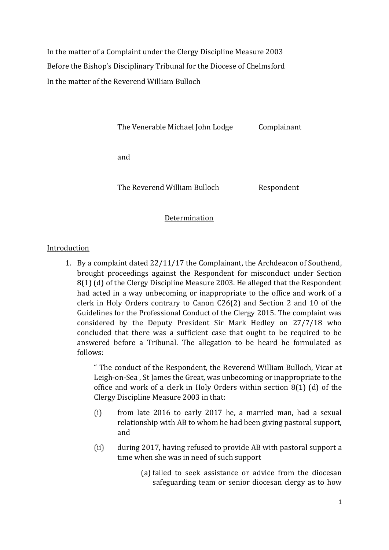In the matter of a Complaint under the Clergy Discipline Measure 2003 Before the Bishop's Disciplinary Tribunal for the Diocese of Chelmsford In the matter of the Reverend William Bulloch

The Venerable Michael John Lodge Complainant

and

The Reverend William Bulloch Respondent

### Determination

### Introduction

1. By a complaint dated 22/11/17 the Complainant, the Archdeacon of Southend, brought proceedings against the Respondent for misconduct under Section 8(1) (d) of the Clergy Discipline Measure 2003. He alleged that the Respondent had acted in a way unbecoming or inappropriate to the office and work of a clerk in Holy Orders contrary to Canon C26(2) and Section 2 and 10 of the Guidelines for the Professional Conduct of the Clergy 2015. The complaint was considered by the Deputy President Sir Mark Hedley on 27/7/18 who concluded that there was a sufficient case that ought to be required to be answered before a Tribunal. The allegation to be heard he formulated as follows:

> " The conduct of the Respondent, the Reverend William Bulloch, Vicar at Leigh-on-Sea , St James the Great, was unbecoming or inappropriate to the office and work of a clerk in Holy Orders within section 8(1) (d) of the Clergy Discipline Measure 2003 in that:

- (i) from late 2016 to early 2017 he, a married man, had a sexual relationship with AB to whom he had been giving pastoral support, and
- (ii) during 2017, having refused to provide AB with pastoral support a time when she was in need of such support
	- (a) failed to seek assistance or advice from the diocesan safeguarding team or senior diocesan clergy as to how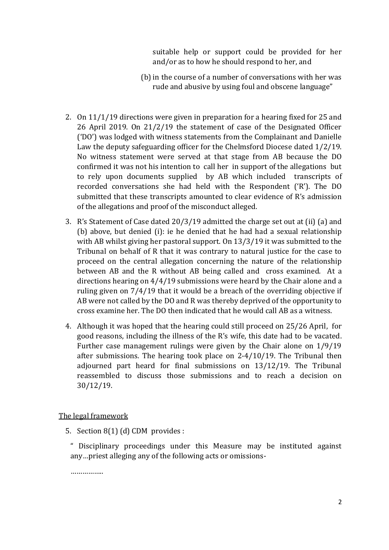suitable help or support could be provided for her and/or as to how he should respond to her, and

- (b) in the course of a number of conversations with her was rude and abusive by using foul and obscene language"
- 2. On 11/1/19 directions were given in preparation for a hearing fixed for 25 and 26 April 2019. On 21/2/19 the statement of case of the Designated Officer ('DO') was lodged with witness statements from the Complainant and Danielle Law the deputy safeguarding officer for the Chelmsford Diocese dated 1/2/19. No witness statement were served at that stage from AB because the DO confirmed it was not his intention to call her in support of the allegations but to rely upon documents supplied by AB which included transcripts of recorded conversations she had held with the Respondent ('R'). The DO submitted that these transcripts amounted to clear evidence of R's admission of the allegations and proof of the misconduct alleged.
- 3. R's Statement of Case dated 20/3/19 admitted the charge set out at (ii) (a) and (b) above, but denied (i): ie he denied that he had had a sexual relationship with AB whilst giving her pastoral support. On 13/3/19 it was submitted to the Tribunal on behalf of R that it was contrary to natural justice for the case to proceed on the central allegation concerning the nature of the relationship between AB and the R without AB being called and cross examined. At a directions hearing on 4/4/19 submissions were heard by the Chair alone and a ruling given on 7/4/19 that it would be a breach of the overriding objective if AB were not called by the DO and R was thereby deprived of the opportunity to cross examine her. The DO then indicated that he would call AB as a witness.
- 4. Although it was hoped that the hearing could still proceed on 25/26 April, for good reasons, including the illness of the R's wife, this date had to be vacated. Further case management rulings were given by the Chair alone on 1/9/19 after submissions. The hearing took place on 2-4/10/19. The Tribunal then adjourned part heard for final submissions on 13/12/19. The Tribunal reassembled to discuss those submissions and to reach a decision on 30/12/19.

### The legal framework

- 5. Section 8(1) (d) CDM provides :
	- " Disciplinary proceedings under this Measure may be instituted against any…priest alleging any of the following acts or omissions-

……………..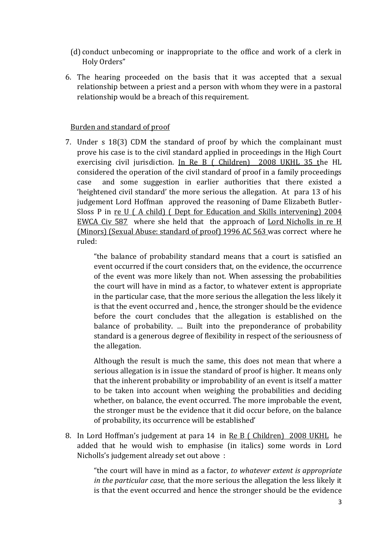- (d) conduct unbecoming or inappropriate to the office and work of a clerk in Holy Orders"
- 6. The hearing proceeded on the basis that it was accepted that a sexual relationship between a priest and a person with whom they were in a pastoral relationship would be a breach of this requirement.

### Burden and standard of proof

7. Under s 18(3) CDM the standard of proof by which the complainant must prove his case is to the civil standard applied in proceedings in the High Court exercising civil jurisdiction. In Re B ( Children) 2008 UKHL 35 the HL considered the operation of the civil standard of proof in a family proceedings case and some suggestion in earlier authorities that there existed a 'heightened civil standard' the more serious the allegation. At para 13 of his judgement Lord Hoffman approved the reasoning of Dame Elizabeth Butler-Sloss P in re U ( A child) ( Dept for Education and Skills intervening) 2004 EWCA Civ 587 where she held that the approach of Lord Nicholls in re H (Minors) (Sexual Abuse: standard of proof) 1996 AC 563 was correct where he ruled:

> "the balance of probability standard means that a court is satisfied an event occurred if the court considers that, on the evidence, the occurrence of the event was more likely than not. When assessing the probabilities the court will have in mind as a factor, to whatever extent is appropriate in the particular case, that the more serious the allegation the less likely it is that the event occurred and , hence, the stronger should be the evidence before the court concludes that the allegation is established on the balance of probability. … Built into the preponderance of probability standard is a generous degree of flexibility in respect of the seriousness of the allegation.

> Although the result is much the same, this does not mean that where a serious allegation is in issue the standard of proof is higher. It means only that the inherent probability or improbability of an event is itself a matter to be taken into account when weighing the probabilities and deciding whether, on balance, the event occurred. The more improbable the event, the stronger must be the evidence that it did occur before, on the balance of probability, its occurrence will be established'

8. In Lord Hoffman's judgement at para 14 in Re B ( Children) 2008 UKHL he added that he would wish to emphasise (in italics) some words in Lord Nicholls's judgement already set out above :

> "the court will have in mind as a factor, *to whatever extent is appropriate in the particular case,* that the more serious the allegation the less likely it is that the event occurred and hence the stronger should be the evidence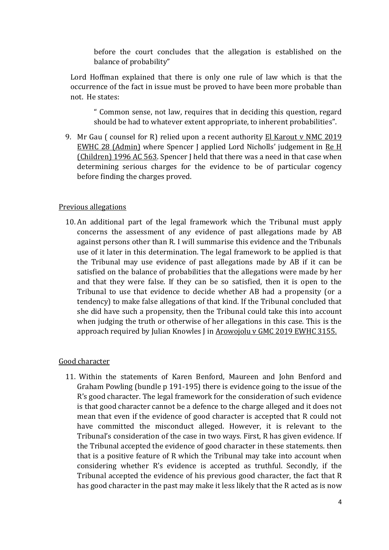before the court concludes that the allegation is established on the balance of probability"

Lord Hoffman explained that there is only one rule of law which is that the occurrence of the fact in issue must be proved to have been more probable than not. He states:

" Common sense, not law, requires that in deciding this question, regard should be had to whatever extent appropriate, to inherent probabilities".

9. Mr Gau ( counsel for R) relied upon a recent authority El Karout v NMC 2019 EWHC 28 (Admin) where Spencer J applied Lord Nicholls' judgement in Re H (Children) 1996 AC 563. Spencer J held that there was a need in that case when determining serious charges for the evidence to be of particular cogency before finding the charges proved.

### Previous allegations

10. An additional part of the legal framework which the Tribunal must apply concerns the assessment of any evidence of past allegations made by AB against persons other than R. I will summarise this evidence and the Tribunals use of it later in this determination. The legal framework to be applied is that the Tribunal may use evidence of past allegations made by AB if it can be satisfied on the balance of probabilities that the allegations were made by her and that they were false. If they can be so satisfied, then it is open to the Tribunal to use that evidence to decide whether AB had a propensity (or a tendency) to make false allegations of that kind. If the Tribunal concluded that she did have such a propensity, then the Tribunal could take this into account when judging the truth or otherwise of her allegations in this case. This is the approach required by Julian Knowles J in Arowojolu v GMC 2019 EWHC 3155.

#### Good character

11. Within the statements of Karen Benford, Maureen and John Benford and Graham Powling (bundle p 191-195) there is evidence going to the issue of the R's good character. The legal framework for the consideration of such evidence is that good character cannot be a defence to the charge alleged and it does not mean that even if the evidence of good character is accepted that R could not have committed the misconduct alleged. However, it is relevant to the Tribunal's consideration of the case in two ways. First, R has given evidence. If the Tribunal accepted the evidence of good character in these statements. then that is a positive feature of R which the Tribunal may take into account when considering whether R's evidence is accepted as truthful. Secondly, if the Tribunal accepted the evidence of his previous good character, the fact that R has good character in the past may make it less likely that the R acted as is now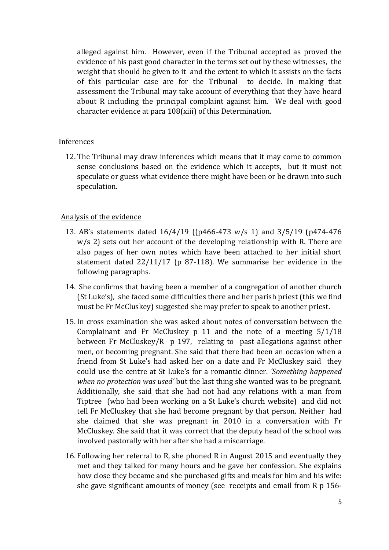alleged against him. However, even if the Tribunal accepted as proved the evidence of his past good character in the terms set out by these witnesses, the weight that should be given to it and the extent to which it assists on the facts of this particular case are for the Tribunal to decide. In making that assessment the Tribunal may take account of everything that they have heard about R including the principal complaint against him. We deal with good character evidence at para 108(xiii) of this Determination.

### Inferences

12. The Tribunal may draw inferences which means that it may come to common sense conclusions based on the evidence which it accepts, but it must not speculate or guess what evidence there might have been or be drawn into such speculation.

## Analysis of the evidence

- 13. AB's statements dated 16/4/19 ((p466-473 w/s 1) and 3/5/19 (p474-476 w/s 2) sets out her account of the developing relationship with R. There are also pages of her own notes which have been attached to her initial short statement dated 22/11/17 (p 87-118). We summarise her evidence in the following paragraphs.
- 14. She confirms that having been a member of a congregation of another church (St Luke's), she faced some difficulties there and her parish priest (this we find must be Fr McCluskey) suggested she may prefer to speak to another priest.
- 15. In cross examination she was asked about notes of conversation between the Complainant and Fr McCluskey p 11 and the note of a meeting 5/1/18 between Fr McCluskey/R p 197, relating to past allegations against other men, or becoming pregnant. She said that there had been an occasion when a friend from St Luke's had asked her on a date and Fr McCluskey said they could use the centre at St Luke's for a romantic dinner*. 'Something happened when no protection was used'* but the last thing she wanted was to be pregnant. Additionally, she said that she had not had any relations with a man from Tiptree (who had been working on a St Luke's church website) and did not tell Fr McCluskey that she had become pregnant by that person. Neither had she claimed that she was pregnant in 2010 in a conversation with Fr McCluskey. She said that it was correct that the deputy head of the school was involved pastorally with her after she had a miscarriage.
- 16. Following her referral to R, she phoned R in August 2015 and eventually they met and they talked for many hours and he gave her confession. She explains how close they became and she purchased gifts and meals for him and his wife: she gave significant amounts of money (see receipts and email from R p 156-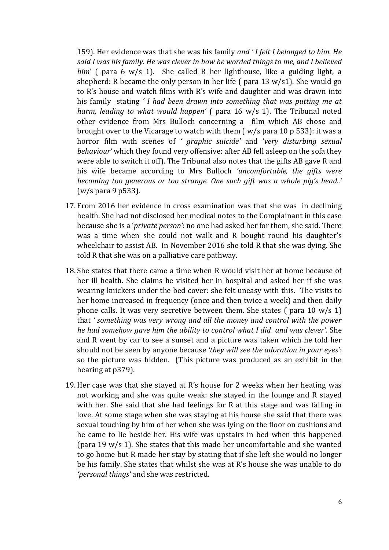159). Her evidence was that she was his family *and ' I felt I belonged to him. He said I was his family. He was clever in how he worded things to me, and I believed him*' ( para 6 w/s 1). She called R her lighthouse, like a guiding light, a shepherd: R became the only person in her life ( para 13 w/s1). She would go to R's house and watch films with R's wife and daughter and was drawn into his family stating *' I had been drawn into something that was putting me at harm, leading to what would happen'* ( para 16 w/s 1). The Tribunal noted other evidence from Mrs Bulloch concerning a film which AB chose and brought over to the Vicarage to watch with them ( w/s para 10 p 533): it was a horror film with scenes of *' graphic suicide'* and '*very disturbing sexual behaviour'* which they found very offensive: after AB fell asleep on the sofa they were able to switch it off). The Tribunal also notes that the gifts AB gave R and his wife became according to Mrs Bulloch *'uncomfortable, the gifts were becoming too generous or too strange. One such gift was a whole pig's head..'* (w/s para 9 p533).

- 17. From 2016 her evidence in cross examination was that she was in declining health. She had not disclosed her medical notes to the Complainant in this case because she is a '*private person'*: no one had asked her for them, she said. There was a time when she could not walk and R bought round his daughter's wheelchair to assist AB. In November 2016 she told R that she was dying. She told R that she was on a palliative care pathway.
- 18. She states that there came a time when R would visit her at home because of her ill health. She claims he visited her in hospital and asked her if she was wearing knickers under the bed cover: she felt uneasy with this. The visits to her home increased in frequency (once and then twice a week) and then daily phone calls. It was very secretive between them. She states ( para 10 w/s 1) that *' something was very wrong and all the money and control with the power he had somehow gave him the ability to control what I did and was clever'.* She and R went by car to see a sunset and a picture was taken which he told her should not be seen by anyone because *'they will see the adoration in your eyes'*: so the picture was hidden. (This picture was produced as an exhibit in the hearing at p379).
- 19. Her case was that she stayed at R's house for 2 weeks when her heating was not working and she was quite weak: she stayed in the lounge and R stayed with her. She said that she had feelings for R at this stage and was falling in love. At some stage when she was staying at his house she said that there was sexual touching by him of her when she was lying on the floor on cushions and he came to lie beside her. His wife was upstairs in bed when this happened (para 19 w/s 1). She states that this made her uncomfortable and she wanted to go home but R made her stay by stating that if she left she would no longer be his family. She states that whilst she was at R's house she was unable to do *'personal things'* and she was restricted.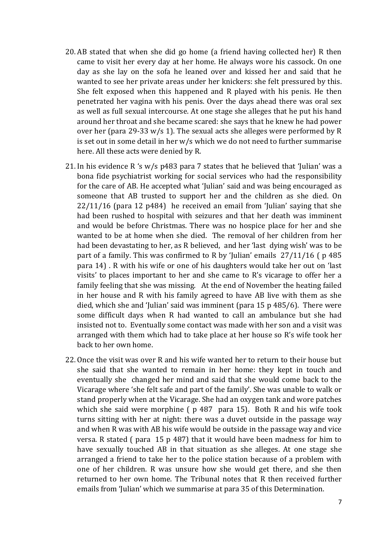- 20. AB stated that when she did go home (a friend having collected her) R then came to visit her every day at her home. He always wore his cassock. On one day as she lay on the sofa he leaned over and kissed her and said that he wanted to see her private areas under her knickers: she felt pressured by this. She felt exposed when this happened and R played with his penis. He then penetrated her vagina with his penis. Over the days ahead there was oral sex as well as full sexual intercourse. At one stage she alleges that he put his hand around her throat and she became scared: she says that he knew he had power over her (para 29-33 w/s 1). The sexual acts she alleges were performed by R is set out in some detail in her w/s which we do not need to further summarise here. All these acts were denied by R.
- 21. In his evidence R 's  $w/s$  p483 para 7 states that he believed that 'Julian' was a bona fide psychiatrist working for social services who had the responsibility for the care of AB. He accepted what 'Julian' said and was being encouraged as someone that AB trusted to support her and the children as she died. On  $22/11/16$  (para 12 p484) he received an email from 'Julian' saying that she had been rushed to hospital with seizures and that her death was imminent and would be before Christmas. There was no hospice place for her and she wanted to be at home when she died. The removal of her children from her had been devastating to her, as R believed, and her 'last dying wish' was to be part of a family. This was confirmed to R by 'Julian' emails 27/11/16 ( p 485 para 14) . R with his wife or one of his daughters would take her out on 'last visits' to places important to her and she came to R's vicarage to offer her a family feeling that she was missing. At the end of November the heating failed in her house and R with his family agreed to have AB live with them as she died, which she and 'Julian' said was imminent (para 15 p 485/6). There were some difficult days when R had wanted to call an ambulance but she had insisted not to. Eventually some contact was made with her son and a visit was arranged with them which had to take place at her house so R's wife took her back to her own home.
- 22. Once the visit was over R and his wife wanted her to return to their house but she said that she wanted to remain in her home: they kept in touch and eventually she changed her mind and said that she would come back to the Vicarage where 'she felt safe and part of the family'. She was unable to walk or stand properly when at the Vicarage. She had an oxygen tank and wore patches which she said were morphine (  $p$  487 para 15). Both R and his wife took turns sitting with her at night: there was a duvet outside in the passage way and when R was with AB his wife would be outside in the passage way and vice versa. R stated ( para 15 p 487) that it would have been madness for him to have sexually touched AB in that situation as she alleges. At one stage she arranged a friend to take her to the police station because of a problem with one of her children. R was unsure how she would get there, and she then returned to her own home. The Tribunal notes that R then received further emails from 'Julian' which we summarise at para 35 of this Determination.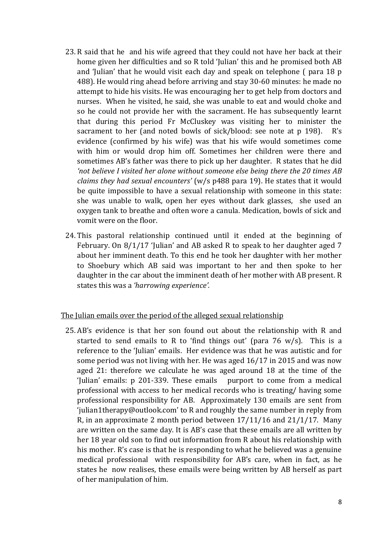- 23. R said that he and his wife agreed that they could not have her back at their home given her difficulties and so R told 'Julian' this and he promised both AB and 'Julian' that he would visit each day and speak on telephone ( para 18 p 488). He would ring ahead before arriving and stay 30-60 minutes: he made no attempt to hide his visits. He was encouraging her to get help from doctors and nurses. When he visited, he said, she was unable to eat and would choke and so he could not provide her with the sacrament. He has subsequently learnt that during this period Fr McCluskey was visiting her to minister the sacrament to her (and noted bowls of sick/blood: see note at p 198). R's evidence (confirmed by his wife) was that his wife would sometimes come with him or would drop him off. Sometimes her children were there and sometimes AB's father was there to pick up her daughter. R states that he did *'not believe I visited her alone without someone else being there the 20 times AB claims they had sexual encounters'* (w/s p488 para 19). He states that it would be quite impossible to have a sexual relationship with someone in this state: she was unable to walk, open her eyes without dark glasses, she used an oxygen tank to breathe and often wore a canula. Medication, bowls of sick and vomit were on the floor.
- 24. This pastoral relationship continued until it ended at the beginning of February. On 8/1/17 'Julian' and AB asked R to speak to her daughter aged 7 about her imminent death. To this end he took her daughter with her mother to Shoebury which AB said was important to her and then spoke to her daughter in the car about the imminent death of her mother with AB present. R states this was a *'harrowing experience'.*

### The Julian emails over the period of the alleged sexual relationship

25. AB's evidence is that her son found out about the relationship with R and started to send emails to R to 'find things out' (para  $76 \text{ w/s}$ ). This is a reference to the 'Julian' emails. Her evidence was that he was autistic and for some period was not living with her. He was aged 16/17 in 2015 and was now aged 21: therefore we calculate he was aged around 18 at the time of the 'Julian' emails: p 201-339. These emails purport to come from a medical professional with access to her medical records who is treating/ having some professional responsibility for AB. Approximately 130 emails are sent from 'julian1therapy@outlook.com' to R and roughly the same number in reply from R, in an approximate 2 month period between 17/11/16 and 21/1/17. Many are written on the same day. It is AB's case that these emails are all written by her 18 year old son to find out information from R about his relationship with his mother. R's case is that he is responding to what he believed was a genuine medical professional with responsibility for AB's care, when in fact, as he states he now realises, these emails were being written by AB herself as part of her manipulation of him.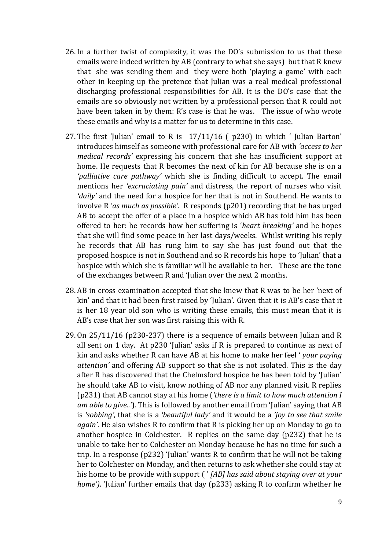- 26. In a further twist of complexity, it was the DO's submission to us that these emails were indeed written by AB (contrary to what she says) but that R knew that she was sending them and they were both 'playing a game' with each other in keeping up the pretence that Julian was a real medical professional discharging professional responsibilities for AB. It is the DO's case that the emails are so obviously not written by a professional person that R could not have been taken in by them: R's case is that he was. The issue of who wrote these emails and why is a matter for us to determine in this case.
- 27. The first 'Julian' email to R is 17/11/16 ( p230) in which ' Julian Barton' introduces himself as someone with professional care for AB with *'access to her medical records'* expressing his concern that she has insufficient support at home. He requests that R becomes the next of kin for AB because she is on a *'palliative care pathway'* which she is finding difficult to accept. The email mentions her *'excruciating pain'* and distress, the report of nurses who visit *'daily'* and the need for a hospice for her that is not in Southend. He wants to involve R '*as much as possible'*. R responds (p201) recording that he has urged AB to accept the offer of a place in a hospice which AB has told him has been offered to her: he records how her suffering is '*heart breaking'* and he hopes that she will find some peace in her last days/weeks. Whilst writing his reply he records that AB has rung him to say she has just found out that the proposed hospice is not in Southend and so R records his hope to 'Julian' that a hospice with which she is familiar will be available to her. These are the tone of the exchanges between R and 'Julian over the next 2 months.
- 28. AB in cross examination accepted that she knew that R was to be her 'next of kin' and that it had been first raised by 'Julian'. Given that it is AB's case that it is her 18 year old son who is writing these emails, this must mean that it is AB's case that her son was first raising this with R.
- 29. On 25/11/16 (p230-237) there is a sequence of emails between Julian and R all sent on 1 day. At p230 'Julian' asks if R is prepared to continue as next of kin and asks whether R can have AB at his home to make her feel ' *your paying attention'* and offering AB support so that she is not isolated. This is the day after R has discovered that the Chelmsford hospice he has been told by 'Julian' he should take AB to visit, know nothing of AB nor any planned visit. R replies (p231) that AB cannot stay at his home (*'there is a limit to how much attention I am able to give..'*). This is followed by another email from 'Julian' saying that AB is *'sobbing'*, that she is a *'beautiful lady'* and it would be a *'joy to see that smile again'*. He also wishes R to confirm that R is picking her up on Monday to go to another hospice in Colchester. R replies on the same day (p232) that he is unable to take her to Colchester on Monday because he has no time for such a trip. In a response (p232) 'Julian' wants R to confirm that he will not be taking her to Colchester on Monday, and then returns to ask whether she could stay at his home to be provide with support ( ' *[AB] has said about staying over at your home')*. 'Julian' further emails that day (p233) asking R to confirm whether he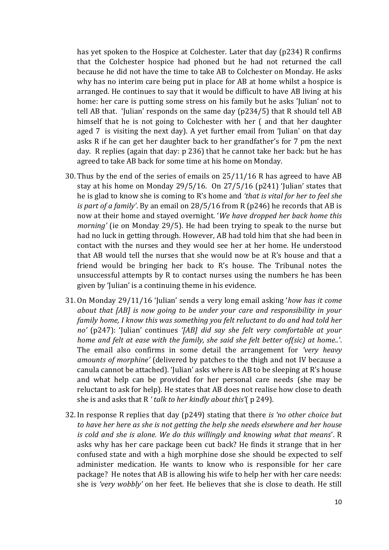has yet spoken to the Hospice at Colchester. Later that day (p234) R confirms that the Colchester hospice had phoned but he had not returned the call because he did not have the time to take AB to Colchester on Monday. He asks why has no interim care being put in place for AB at home whilst a hospice is arranged. He continues to say that it would be difficult to have AB living at his home: her care is putting some stress on his family but he asks 'Julian' not to tell AB that. 'Julian' responds on the same day (p234/5) that R should tell AB himself that he is not going to Colchester with her ( and that her daughter aged 7 is visiting the next day). A yet further email from 'Julian' on that day asks R if he can get her daughter back to her grandfather's for 7 pm the next day. R replies (again that day: p 236) that he cannot take her back: but he has agreed to take AB back for some time at his home on Monday.

- 30. Thus by the end of the series of emails on 25/11/16 R has agreed to have AB stay at his home on Monday 29/5/16. On 27/5/16 (p241) 'Julian' states that he is glad to know she is coming to R's home and *'that is vital for her to feel she is part of a family'*. By an email on 28/5/16 from R (p246) he records that AB is now at their home and stayed overnight. '*We have dropped her back home this morning'* (ie on Monday 29/5). He had been trying to speak to the nurse but had no luck in getting through. However, AB had told him that she had been in contact with the nurses and they would see her at her home. He understood that AB would tell the nurses that she would now be at R's house and that a friend would be bringing her back to R's house. The Tribunal notes the unsuccessful attempts by R to contact nurses using the numbers he has been given by 'Julian' is a continuing theme in his evidence.
- 31. On Monday 29/11/16 'Julian' sends a very long email asking '*how has it come about that [AB] is now going to be under your care and responsibility in your family home, I know this was something you felt reluctant to do and had told her no'* (p247): 'Julian' continues *'[AB] did say she felt very comfortable at your home and felt at ease with the family, she said she felt better of(sic) at home..'*. The email also confirms in some detail the arrangement for *'very heavy amounts of morphine'* (delivered by patches to the thigh and not IV because a canula cannot be attached). 'Julian' asks where is AB to be sleeping at R's house and what help can be provided for her personal care needs (she may be reluctant to ask for help). He states that AB does not realise how close to death she is and asks that R *' talk to her kindly about this'*( p 249).
- 32. In response R replies that day (p249) stating that there *is 'no other choice but to have her here as she is not getting the help she needs elsewhere and her house is cold and she is alone. We do this willingly and knowing what that means*'. R asks why has her care package been cut back? He finds it strange that in her confused state and with a high morphine dose she should be expected to self administer medication. He wants to know who is responsible for her care package? He notes that AB is allowing his wife to help her with her care needs: she is *'very wobbly'* on her feet. He believes that she is close to death. He still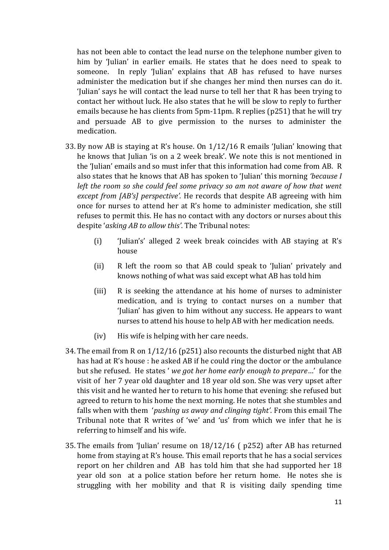has not been able to contact the lead nurse on the telephone number given to him by 'Julian' in earlier emails. He states that he does need to speak to someone. In reply 'Julian' explains that AB has refused to have nurses administer the medication but if she changes her mind then nurses can do it. 'Julian' says he will contact the lead nurse to tell her that R has been trying to contact her without luck. He also states that he will be slow to reply to further emails because he has clients from 5pm-11pm. R replies (p251) that he will try and persuade AB to give permission to the nurses to administer the medication.

- 33. By now AB is staying at R's house. On 1/12/16 R emails 'Julian' knowing that he knows that Julian 'is on a 2 week break'. We note this is not mentioned in the 'Julian' emails and so must infer that this information had come from AB. R also states that he knows that AB has spoken to 'Julian' this morning *'because I left the room so she could feel some privacy so am not aware of how that went except from [AB's] perspective'.* He records that despite AB agreeing with him once for nurses to attend her at R's home to administer medication, she still refuses to permit this. He has no contact with any doctors or nurses about this despite '*asking AB to allow this'*. The Tribunal notes:
	- (i) 'Julian's' alleged 2 week break coincides with AB staying at R's house
	- (ii) R left the room so that AB could speak to 'Julian' privately and knows nothing of what was said except what AB has told him
	- (iii) R is seeking the attendance at his home of nurses to administer medication, and is trying to contact nurses on a number that 'Julian' has given to him without any success. He appears to want nurses to attend his house to help AB with her medication needs.
	- (iv) His wife is helping with her care needs.
- 34. The email from R on 1/12/16 (p251) also recounts the disturbed night that AB has had at R's house : he asked AB if he could ring the doctor or the ambulance but she refused. He states ' *we got her home early enough to prepare*…' for the visit of her 7 year old daughter and 18 year old son. She was very upset after this visit and he wanted her to return to his home that evening: she refused but agreed to return to his home the next morning. He notes that she stumbles and falls when with them '*pushing us away and clinging tight'*. From this email The Tribunal note that R writes of 'we' and 'us' from which we infer that he is referring to himself and his wife.
- 35. The emails from 'Julian' resume on 18/12/16 ( p252) after AB has returned home from staying at R's house. This email reports that he has a social services report on her children and AB has told him that she had supported her 18 year old son at a police station before her return home. He notes she is struggling with her mobility and that R is visiting daily spending time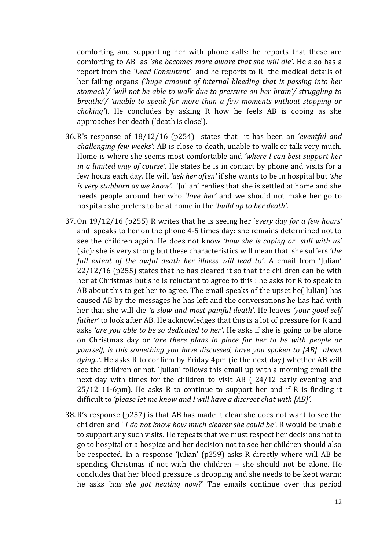comforting and supporting her with phone calls: he reports that these are comforting to AB as *'she becomes more aware that she will die'*. He also has a report from the *'Lead Consultant'* and he reports to R the medical details of her failing organs *('huge amount of internal bleeding that is passing into her stomach'/ 'will not be able to walk due to pressure on her brain'/ struggling to breathe'/ 'unable to speak for more than a few moments without stopping or choking'*). He concludes by asking R how he feels AB is coping as she approaches her death ('death is close').

- 36. R's response of 18/12/16 (p254) states that it has been an '*eventful and challenging few weeks'*: AB is close to death, unable to walk or talk very much. Home is where she seems most comfortable and *'where I can best support her in a limited way of course'*. He states he is in contact by phone and visits for a few hours each day. He will *'ask her often'* if she wants to be in hospital but *'she is very stubborn as we know'.* 'Julian' replies that she is settled at home and she needs people around her who '*love her'* and we should not make her go to hospital: she prefers to be at home in the '*build up to her death'*.
- 37. On 19/12/16 (p255) R writes that he is seeing her '*every day for a few hours'* and speaks to her on the phone 4-5 times day: she remains determined not to see the children again. He does not know *'how she is coping or still with us'* (sic)*:* she is very strong but these characteristics will mean that she suffers *'the full extent of the awful death her illness will lead to'*. A email from 'Julian' 22/12/16 (p255) states that he has cleared it so that the children can be with her at Christmas but she is reluctant to agree to this : he asks for R to speak to AB about this to get her to agree. The email speaks of the upset he( Julian) has caused AB by the messages he has left and the conversations he has had with her that she will die *'a slow and most painful death'*. He leaves *'your good self father'* to look after AB. He acknowledges that this is a lot of pressure for R and asks *'are you able to be so dedicated to her'*. He asks if she is going to be alone on Christmas day or *'are there plans in place for her to be with people or yourself, is this something you have discussed, have you spoken to [AB] about dying..'*. He asks R to confirm by Friday 4pm (ie the next day) whether AB will see the children or not. 'Julian' follows this email up with a morning email the next day with times for the children to visit AB ( 24/12 early evening and 25/12 11-6pm). He asks R to continue to support her and if R is finding it difficult to *'please let me know and I will have a discreet chat with [AB]'.*
- 38. R's response (p257) is that AB has made it clear she does not want to see the children and ' *I do not know how much clearer she could be'*. R would be unable to support any such visits. He repeats that we must respect her decisions not to go to hospital or a hospice and her decision not to see her children should also be respected. In a response 'Julian' (p259) asks R directly where will AB be spending Christmas if not with the children – she should not be alone. He concludes that her blood pressure is dropping and she needs to be kept warm: he asks 'h*as she got heating now?*' The emails continue over this period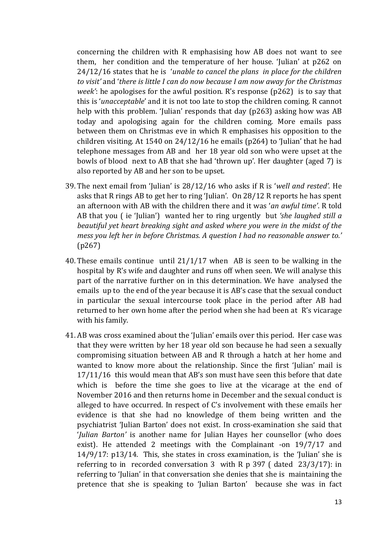concerning the children with R emphasising how AB does not want to see them, her condition and the temperature of her house. 'Julian' at p262 on 24/12/16 states that he is '*unable to cancel the plans in place for the children to visit'* and '*there is little I can do now because I am now away for the Christmas week'*: he apologises for the awful position. R's response (p262) is to say that this is '*unacceptable*' and it is not too late to stop the children coming. R cannot help with this problem. 'Julian' responds that day (p263) asking how was AB today and apologising again for the children coming. More emails pass between them on Christmas eve in which R emphasises his opposition to the children visiting. At 1540 on 24/12/16 he emails (p264) to 'Julian' that he had telephone messages from AB and her 18 year old son who were upset at the bowls of blood next to AB that she had 'thrown up'. Her daughter (aged 7) is also reported by AB and her son to be upset.

- 39. The next email from 'Julian' is 28/12/16 who asks if R is '*well and rested'.* He asks that R rings AB to get her to ring 'Julian'. On 28/12 R reports he has spent an afternoon with AB with the children there and it was '*an awful time'*. R told AB that you ( ie 'Julian') wanted her to ring urgently but *'she laughed still a beautiful yet heart breaking sight and asked where you were in the midst of the mess you left her in before Christmas. A question I had no reasonable answer to.'* (p267)
- 40. These emails continue until 21/1/17 when AB is seen to be walking in the hospital by R's wife and daughter and runs off when seen. We will analyse this part of the narrative further on in this determination. We have analysed the emails up to the end of the year because it is AB's case that the sexual conduct in particular the sexual intercourse took place in the period after AB had returned to her own home after the period when she had been at R's vicarage with his family.
- 41. AB was cross examined about the 'Julian' emails over this period. Her case was that they were written by her 18 year old son because he had seen a sexually compromising situation between AB and R through a hatch at her home and wanted to know more about the relationship. Since the first 'Julian' mail is 17/11/16 this would mean that AB's son must have seen this before that date which is before the time she goes to live at the vicarage at the end of November 2016 and then returns home in December and the sexual conduct is alleged to have occurred. In respect of C's involvement with these emails her evidence is that she had no knowledge of them being written and the psychiatrist 'Julian Barton' does not exist. In cross-examination she said that '*Julian Barton'* is another name for Julian Hayes her counsellor (who does exist). He attended 2 meetings with the Complainant -on 19/7/17 and 14/9/17: p13/14. This, she states in cross examination, is the 'Julian' she is referring to in recorded conversation 3 with R p 397 ( dated 23/3/17): in referring to 'Julian' in that conversation she denies that she is maintaining the pretence that she is speaking to 'Julian Barton' because she was in fact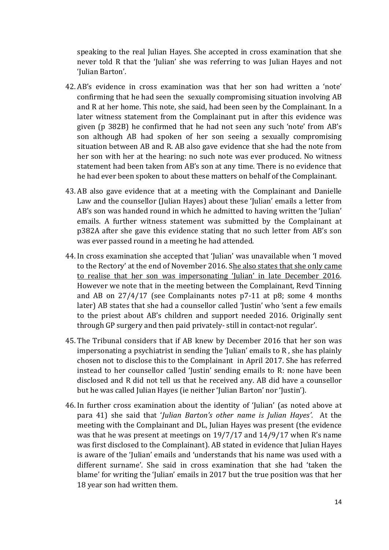speaking to the real Julian Hayes. She accepted in cross examination that she never told R that the 'Julian' she was referring to was Julian Hayes and not 'Julian Barton'.

- 42. AB's evidence in cross examination was that her son had written a 'note' confirming that he had seen the sexually compromising situation involving AB and R at her home. This note, she said, had been seen by the Complainant. In a later witness statement from the Complainant put in after this evidence was given (p 382B) he confirmed that he had not seen any such 'note' from AB's son although AB had spoken of her son seeing a sexually compromising situation between AB and R. AB also gave evidence that she had the note from her son with her at the hearing: no such note was ever produced. No witness statement had been taken from AB's son at any time. There is no evidence that he had ever been spoken to about these matters on behalf of the Complainant.
- 43. AB also gave evidence that at a meeting with the Complainant and Danielle Law and the counsellor (Julian Hayes) about these 'Julian' emails a letter from AB's son was handed round in which he admitted to having written the 'Julian' emails. A further witness statement was submitted by the Complainant at p382A after she gave this evidence stating that no such letter from AB's son was ever passed round in a meeting he had attended.
- 44. In cross examination she accepted that 'Julian' was unavailable when 'I moved to the Rectory' at the end of November 2016. She also states that she only came to realise that her son was impersonating 'Julian' in late December 2016. However we note that in the meeting between the Complainant, Revd Tinning and AB on 27/4/17 (see Complainants notes p7-11 at p8; some 4 months later) AB states that she had a counsellor called 'Justin' who 'sent a few emails to the priest about AB's children and support needed 2016. Originally sent through GP surgery and then paid privately- still in contact-not regular'.
- 45. The Tribunal considers that if AB knew by December 2016 that her son was impersonating a psychiatrist in sending the 'Julian' emails to R , she has plainly chosen not to disclose this to the Complainant in April 2017. She has referred instead to her counsellor called 'Justin' sending emails to R: none have been disclosed and R did not tell us that he received any. AB did have a counsellor but he was called Julian Hayes (ie neither 'Julian Barton' nor 'Justin').
- 46. In further cross examination about the identity of 'Julian' (as noted above at para 41) she said that '*Julian Barton's other name is Julian Hayes'*. At the meeting with the Complainant and DL, Julian Hayes was present (the evidence was that he was present at meetings on 19/7/17 and 14/9/17 when R's name was first disclosed to the Complainant). AB stated in evidence that Julian Hayes is aware of the 'Julian' emails and 'understands that his name was used with a different surname'. She said in cross examination that she had 'taken the blame' for writing the 'Julian' emails in 2017 but the true position was that her 18 year son had written them.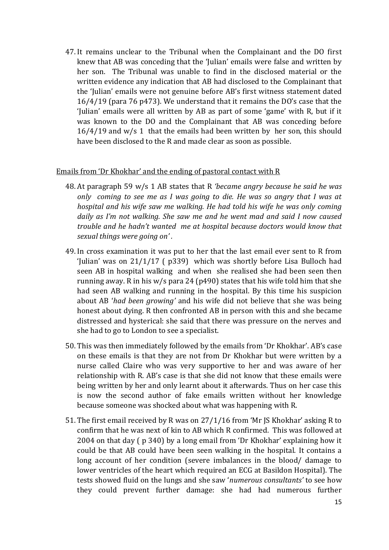47. It remains unclear to the Tribunal when the Complainant and the DO first knew that AB was conceding that the 'Julian' emails were false and written by her son. The Tribunal was unable to find in the disclosed material or the written evidence any indication that AB had disclosed to the Complainant that the 'Julian' emails were not genuine before AB's first witness statement dated 16/4/19 (para 76 p473). We understand that it remains the DO's case that the 'Julian' emails were all written by AB as part of some 'game' with R, but if it was known to the DO and the Complainant that AB was conceding before  $16/4/19$  and w/s 1 that the emails had been written by her son, this should have been disclosed to the R and made clear as soon as possible.

### Emails from 'Dr Khokhar' and the ending of pastoral contact with R

- 48. At paragraph 59 w/s 1 AB states that R *'became angry because he said he was only coming to see me as I was going to die. He was so angry that I was at hospital and his wife saw me walking. He had told his wife he was only coming daily as I'm not walking. She saw me and he went mad and said I now caused trouble and he hadn't wanted me at hospital because doctors would know that sexual things were going on' .*
- 49. In cross examination it was put to her that the last email ever sent to R from 'Julian' was on 21/1/17 ( p339) which was shortly before Lisa Bulloch had seen AB in hospital walking and when she realised she had been seen then running away. R in his w/s para 24 (p490) states that his wife told him that she had seen AB walking and running in the hospital. By this time his suspicion about AB '*had been growing'* and his wife did not believe that she was being honest about dying. R then confronted AB in person with this and she became distressed and hysterical: she said that there was pressure on the nerves and she had to go to London to see a specialist.
- 50. This was then immediately followed by the emails from 'Dr Khokhar'. AB's case on these emails is that they are not from Dr Khokhar but were written by a nurse called Claire who was very supportive to her and was aware of her relationship with R. AB's case is that she did not know that these emails were being written by her and only learnt about it afterwards. Thus on her case this is now the second author of fake emails written without her knowledge because someone was shocked about what was happening with R.
- 51. The first email received by R was on 27/1/16 from 'Mr JS Khokhar' asking R to confirm that he was next of kin to AB which R confirmed. This was followed at 2004 on that day ( p 340) by a long email from 'Dr Khokhar' explaining how it could be that AB could have been seen walking in the hospital. It contains a long account of her condition (severe imbalances in the blood/ damage to lower ventricles of the heart which required an ECG at Basildon Hospital). The tests showed fluid on the lungs and she saw '*numerous consultants'* to see how they could prevent further damage: she had had numerous further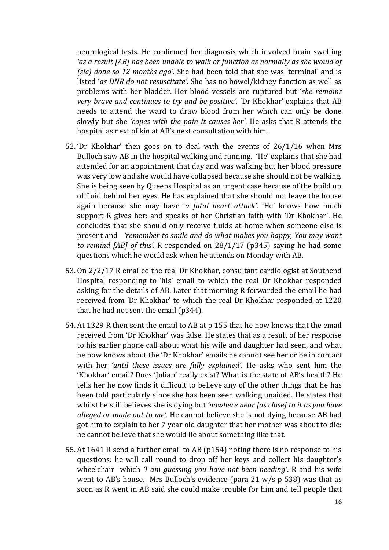neurological tests. He confirmed her diagnosis which involved brain swelling *'as a result [AB] has been unable to walk or function as normally as she would of (sic) done so 12 months ago'.* She had been told that she was 'terminal' and is listed '*as DNR do not resuscitate'*. She has no bowel/kidney function as well as problems with her bladder. Her blood vessels are ruptured but '*she remains very brave and continues to try and be positive'.* 'Dr Khokhar' explains that AB needs to attend the ward to draw blood from her which can only be done slowly but she *'copes with the pain it causes her'*. He asks that R attends the hospital as next of kin at AB's next consultation with him.

- 52. 'Dr Khokhar' then goes on to deal with the events of 26/1/16 when Mrs Bulloch saw AB in the hospital walking and running. 'He' explains that she had attended for an appointment that day and was walking but her blood pressure was very low and she would have collapsed because she should not be walking. She is being seen by Queens Hospital as an urgent case because of the build up of fluid behind her eyes. He has explained that she should not leave the house again because she may have '*a fatal heart attack'*. 'He' knows how much support R gives her: and speaks of her Christian faith with 'Dr Khokhar'. He concludes that she should only receive fluids at home when someone else is present and *'remember to smile and do what makes you happy, You may want to remind [AB] of this'*. R responded on 28/1/17 (p345) saying he had some questions which he would ask when he attends on Monday with AB.
- 53. On 2/2/17 R emailed the real Dr Khokhar, consultant cardiologist at Southend Hospital responding to 'his' email to which the real Dr Khokhar responded asking for the details of AB. Later that morning R forwarded the email he had received from 'Dr Khokhar' to which the real Dr Khokhar responded at 1220 that he had not sent the email (p344).
- 54. At 1329 R then sent the email to AB at p 155 that he now knows that the email received from 'Dr Khokhar' was false. He states that as a result of her response to his earlier phone call about what his wife and daughter had seen, and what he now knows about the 'Dr Khokhar' emails he cannot see her or be in contact with her *'until these issues are fully explained'*. He asks who sent him the 'Khokhar' email? Does 'Julian' really exist? What is the state of AB's health? He tells her he now finds it difficult to believe any of the other things that he has been told particularly since she has been seen walking unaided. He states that whilst he still believes she is dying but *'nowhere near [as close] to it as you have alleged or made out to me'.* He cannot believe she is not dying because AB had got him to explain to her 7 year old daughter that her mother was about to die: he cannot believe that she would lie about something like that.
- 55. At 1641 R send a further email to AB (p154) noting there is no response to his questions: he will call round to drop off her keys and collect his daughter's wheelchair which *'I am guessing you have not been needing'*. R and his wife went to AB's house. Mrs Bulloch's evidence (para 21 w/s p 538) was that as soon as R went in AB said she could make trouble for him and tell people that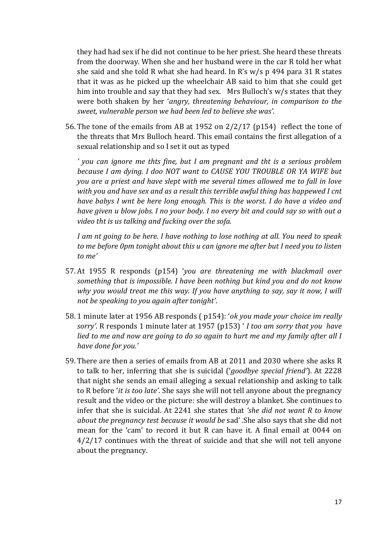they had had sex if he did not continue to be her priest. She heard these threats from the doorway. When she and her husband were in the car R told her what she said and she told R what she had heard. In R's w/s p 494 para 31 R states that it was as he picked up the wheelchair AB said to him that she could get him into trouble and say that they had sex. Mrs Bulloch's w/s states that they were both shaken by her '*angry, threatening behaviour, in comparison to the sweet, vulnerable person we had been led to believe she was'*.

56. The tone of the emails from AB at 1952 on 2/2/17 (p154) reflect the tone of the threats that Mrs Bulloch heard. This email contains the first allegation of a sexual relationship and so I set it out as typed

*' you can ignore me thts fine, but I am pregnant and tht is a serious problem because I am dying. I doo NOT want to CAUSE YOU TROUBLE OR YA WIFE but you are a priest and have slept with me several times allowed me to fall in love with you and have sex and as a result this terrible awful thing has happewed I cnt have babys I wnt be here long enough. This is the worst. I do have a video and have given u blow jobs. I no your body. I no every bit and could say so with out a video tht is us talking and fucking over the sofa.*

*I am nt going to be here. I have nothing to lose nothing at all. You need to speak to me before 0pm tonight about this u can ignore me after but I need you to listen to me'* 

- 57. At 1955 R responds (p154) '*you are threatening me with blackmail over something that is impossible. I have been nothing but kind you and do not know why you would treat me this way. If you have anything to say, say it now, I will not be speaking to you again after tonight'*.
- 58. 1 minute later at 1956 AB responds ( p154): '*ok you made your choice im really sorry'*. R responds 1 minute later at 1957 (p153) ' *I too am sorry that you have lied to me and now are going to do so again to hurt me and my family after all I have done for you.'*
- 59. There are then a series of emails from AB at 2011 and 2030 where she asks R to talk to her, inferring that she is suicidal ('*goodbye special friend'*). At 2228 that night she sends an email alleging a sexual relationship and asking to talk to R before '*it is too late'*. She says she will not tell anyone about the pregnancy result and the video or the picture: she will destroy a blanket. She continues to infer that she is suicidal. At 2241 she states that *'she did not want R to know about the pregnancy test because it would be* sad' .She also says that she did not mean for the 'cam' to record it but R can have it. A final email at 0044 on 4/2/17 continues with the threat of suicide and that she will not tell anyone about the pregnancy.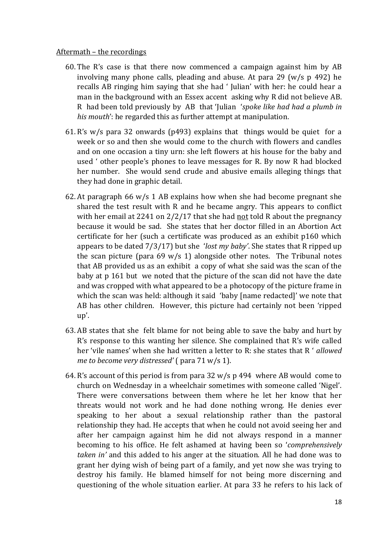#### Aftermath – the recordings

- 60. The R's case is that there now commenced a campaign against him by AB involving many phone calls, pleading and abuse. At para 29 (w/s p 492) he recalls AB ringing him saying that she had ' Julian' with her: he could hear a man in the background with an Essex accent asking why R did not believe AB. R had been told previously by AB that 'Julian '*spoke like had had a plumb in his mouth*': he regarded this as further attempt at manipulation.
- 61. R's w/s para 32 onwards (p493) explains that things would be quiet for a week or so and then she would come to the church with flowers and candles and on one occasion a tiny urn: she left flowers at his house for the baby and used ' other people's phones to leave messages for R. By now R had blocked her number. She would send crude and abusive emails alleging things that they had done in graphic detail.
- 62. At paragraph 66  $w/s$  1 AB explains how when she had become pregnant she shared the test result with R and he became angry. This appears to conflict with her email at 2241 on 2/2/17 that she had not told R about the pregnancy because it would be sad. She states that her doctor filled in an Abortion Act certificate for her (such a certificate was produced as an exhibit p160 which appears to be dated 7/3/17) but she '*lost my baby'*. She states that R ripped up the scan picture (para  $69 \text{ w/s}$  1) alongside other notes. The Tribunal notes that AB provided us as an exhibit a copy of what she said was the scan of the baby at p 161 but we noted that the picture of the scan did not have the date and was cropped with what appeared to be a photocopy of the picture frame in which the scan was held: although it said 'baby [name redacted]' we note that AB has other children. However, this picture had certainly not been 'ripped up'.
- 63. AB states that she felt blame for not being able to save the baby and hurt by R's response to this wanting her silence. She complained that R's wife called her 'vile names' when she had written a letter to R: she states that R ' *allowed me to become very distressed'* ( para 71 w/s 1).
- 64. R's account of this period is from para 32 w/s p 494 where AB would come to church on Wednesday in a wheelchair sometimes with someone called 'Nigel'. There were conversations between them where he let her know that her threats would not work and he had done nothing wrong. He denies ever speaking to her about a sexual relationship rather than the pastoral relationship they had. He accepts that when he could not avoid seeing her and after her campaign against him he did not always respond in a manner becoming to his office. He felt ashamed at having been so '*comprehensively taken in'* and this added to his anger at the situation. All he had done was to grant her dying wish of being part of a family, and yet now she was trying to destroy his family. He blamed himself for not being more discerning and questioning of the whole situation earlier. At para 33 he refers to his lack of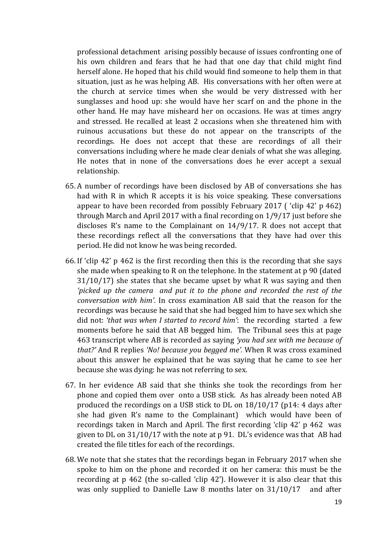professional detachment arising possibly because of issues confronting one of his own children and fears that he had that one day that child might find herself alone. He hoped that his child would find someone to help them in that situation, just as he was helping AB. His conversations with her often were at the church at service times when she would be very distressed with her sunglasses and hood up: she would have her scarf on and the phone in the other hand. He may have misheard her on occasions. He was at times angry and stressed. He recalled at least 2 occasions when she threatened him with ruinous accusations but these do not appear on the transcripts of the recordings. He does not accept that these are recordings of all their conversations including where he made clear denials of what she was alleging. He notes that in none of the conversations does he ever accept a sexual relationship.

- 65. A number of recordings have been disclosed by AB of conversations she has had with R in which R accepts it is his voice speaking. These conversations appear to have been recorded from possibly February 2017 ( 'clip 42' p 462) through March and April 2017 with a final recording on 1/9/17 just before she discloses R's name to the Complainant on 14/9/17. R does not accept that these recordings reflect all the conversations that they have had over this period. He did not know he was being recorded.
- 66. If 'clip 42' p 462 is the first recording then this is the recording that she says she made when speaking to R on the telephone. In the statement at p 90 (dated 31/10/17) she states that she became upset by what R was saying and then *'picked up the camera and put it to the phone and recorded the rest of the conversation with him'*. In cross examination AB said that the reason for the recordings was because he said that she had begged him to have sex which she did not: *'that was when I started to record him'*: the recording started a few moments before he said that AB begged him. The Tribunal sees this at page 463 transcript where AB is recorded as saying *'you had sex with me because of that?'* And R replies *'No! because you begged me'.* When R was cross examined about this answer he explained that he was saying that he came to see her because she was dying: he was not referring to sex.
- 67. In her evidence AB said that she thinks she took the recordings from her phone and copied them over onto a USB stick. As has already been noted AB produced the recordings on a USB stick to DL on 18/10/17 (p14: 4 days after she had given R's name to the Complainant) which would have been of recordings taken in March and April. The first recording 'clip 42' p 462 was given to DL on 31/10/17 with the note at p 91. DL's evidence was that AB had created the file titles for each of the recordings.
- 68. We note that she states that the recordings began in February 2017 when she spoke to him on the phone and recorded it on her camera: this must be the recording at p 462 (the so-called 'clip 42'). However it is also clear that this was only supplied to Danielle Law 8 months later on 31/10/17 and after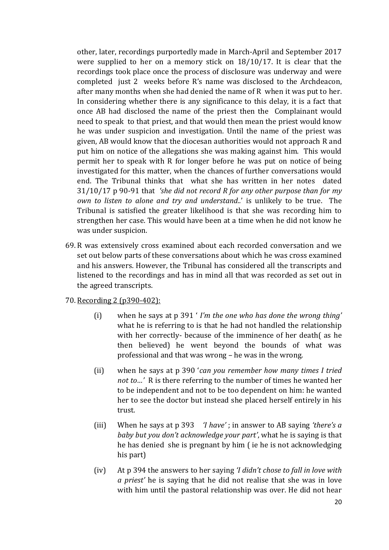other, later, recordings purportedly made in March-April and September 2017 were supplied to her on a memory stick on 18/10/17. It is clear that the recordings took place once the process of disclosure was underway and were completed just 2 weeks before R's name was disclosed to the Archdeacon, after many months when she had denied the name of R when it was put to her. In considering whether there is any significance to this delay, it is a fact that once AB had disclosed the name of the priest then the Complainant would need to speak to that priest, and that would then mean the priest would know he was under suspicion and investigation. Until the name of the priest was given, AB would know that the diocesan authorities would not approach R and put him on notice of the allegations she was making against him. This would permit her to speak with R for longer before he was put on notice of being investigated for this matter, when the chances of further conversations would end. The Tribunal thinks that what she has written in her notes dated 31/10/17 p 90-91 that *'she did not record R for any other purpose than for my own to listen to alone and try and understand..*' is unlikely to be true. The Tribunal is satisfied the greater likelihood is that she was recording him to strengthen her case. This would have been at a time when he did not know he was under suspicion.

69. R was extensively cross examined about each recorded conversation and we set out below parts of these conversations about which he was cross examined and his answers. However, the Tribunal has considered all the transcripts and listened to the recordings and has in mind all that was recorded as set out in the agreed transcripts.

### 70. Recording 2 (p390-402):

- (i) when he says at p 391 ' *I'm the one who has done the wrong thing'*  what he is referring to is that he had not handled the relationship with her correctly- because of the imminence of her death( as he then believed) he went beyond the bounds of what was professional and that was wrong – he was in the wrong.
- (ii) when he says at p 390 '*can you remember how many times I tried not to…'* R is there referring to the number of times he wanted her to be independent and not to be too dependent on him: he wanted her to see the doctor but instead she placed herself entirely in his trust.
- (iii) When he says at p 393 *'I have'* ; in answer to AB saying *'there's a baby but you don't acknowledge your part'*, what he is saying is that he has denied she is pregnant by him ( ie he is not acknowledging his part)
- (iv) At p 394 the answers to her saying *'I didn't chose to fall in love with a priest'* he is saying that he did not realise that she was in love with him until the pastoral relationship was over. He did not hear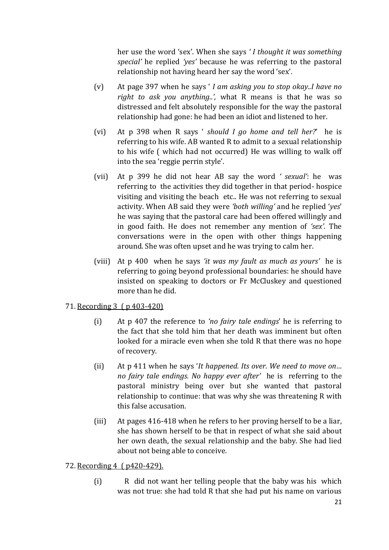her use the word 'sex'. When she says *' I thought it was something special'* he replied *'yes'* because he was referring to the pastoral relationship not having heard her say the word 'sex'.

- (v) At page 397 when he says ' *I am asking you to stop okay..I have no right to ask you anything..',* what R means is that he was so distressed and felt absolutely responsible for the way the pastoral relationship had gone: he had been an idiot and listened to her.
- (vi) At p 398 when R says ' *should I go home and tell her?*' he is referring to his wife. AB wanted R to admit to a sexual relationship to his wife ( which had not occurred) He was willing to walk off into the sea 'reggie perrin style'.
- (vii) At p 399 he did not hear AB say the word *' sexual'*: he was referring to the activities they did together in that period- hospice visiting and visiting the beach etc.. He was not referring to sexual activity. When AB said they were *'both willing'* and he replied '*yes*' he was saying that the pastoral care had been offered willingly and in good faith. He does not remember any mention of *'sex'*. The conversations were in the open with other things happening around. She was often upset and he was trying to calm her.
- (viii) At p 400 when he says *'it was my fault as much as yours'* he is referring to going beyond professional boundaries: he should have insisted on speaking to doctors or Fr McCluskey and questioned more than he did.

### 71. Recording 3 ( p 403-420)

- (i) At p 407 the reference to *'no fairy tale endings*' he is referring to the fact that she told him that her death was imminent but often looked for a miracle even when she told R that there was no hope of recovery.
- (ii) At p 411 when he says '*It happened. Its over. We need to move on… no fairy tale endings. No happy ever after'* he is referring to the pastoral ministry being over but she wanted that pastoral relationship to continue: that was why she was threatening R with this false accusation.
- (iii) At pages 416-418 when he refers to her proving herself to be a liar, she has shown herself to be that in respect of what she said about her own death, the sexual relationship and the baby. She had lied about not being able to conceive.

### 72. Recording 4 ( p420-429).

(i) R did not want her telling people that the baby was his which was not true: she had told R that she had put his name on various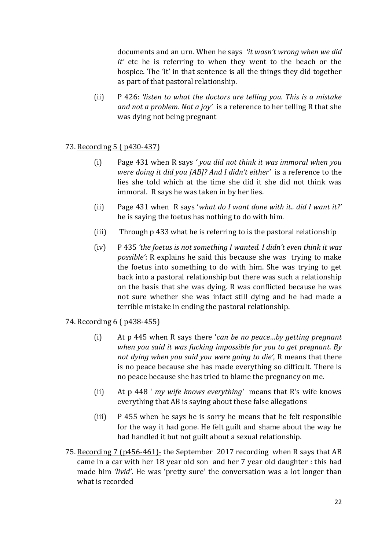documents and an urn. When he says *'it wasn't wrong when we did it'* etc he is referring to when they went to the beach or the hospice. The 'it' in that sentence is all the things they did together as part of that pastoral relationship.

(ii) P 426: *'listen to what the doctors are telling you. This is a mistake and not a problem. Not a joy'* is a reference to her telling R that she was dying not being pregnant

## 73. Recording 5 ( p430-437)

- (i) Page 431 when R says *' you did not think it was immoral when you were doing it did you [AB]? And I didn't either'* is a reference to the lies she told which at the time she did it she did not think was immoral. R says he was taken in by her lies.
- (ii) Page 431 when R says '*what do I want done with it.. did I want it?'* he is saying the foetus has nothing to do with him.
- (iii) Through p 433 what he is referring to is the pastoral relationship
- (iv) P 435 *'the foetus is not something I wanted. I didn't even think it was possible'*: R explains he said this because she was trying to make the foetus into something to do with him. She was trying to get back into a pastoral relationship but there was such a relationship on the basis that she was dying. R was conflicted because he was not sure whether she was infact still dying and he had made a terrible mistake in ending the pastoral relationship.

### 74. Recording 6 ( p438-455)

- (i) At p 445 when R says there '*can be no peace…by getting pregnant when you said it was fucking impossible for you to get pregnant. By not dying when you said you were going to die'*, R means that there is no peace because she has made everything so difficult. There is no peace because she has tried to blame the pregnancy on me.
- (ii) At p 448 ' *my wife knows everything'* means that R's wife knows everything that AB is saying about these false allegations
- (iii) P 455 when he says he is sorry he means that he felt responsible for the way it had gone. He felt guilt and shame about the way he had handled it but not guilt about a sexual relationship.
- 75. Recording 7 (p456-461)- the September 2017 recording when R says that AB came in a car with her 18 year old son and her 7 year old daughter : this had made him *'livid'*. He was 'pretty sure' the conversation was a lot longer than what is recorded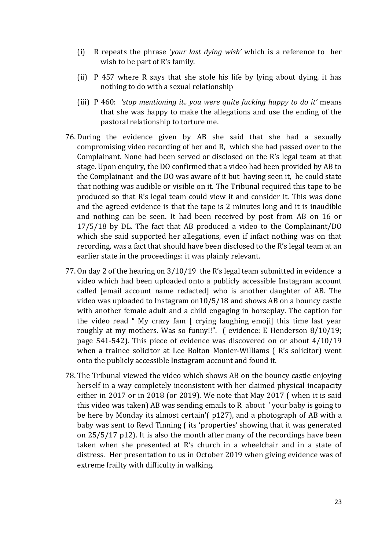- (i) R repeats the phrase '*your last dying wish'* which is a reference to her wish to be part of R's family.
- (ii) P 457 where R says that she stole his life by lying about dying, it has nothing to do with a sexual relationship
- (iii) P 460: *'stop mentioning it.. you were quite fucking happy to do it'* means that she was happy to make the allegations and use the ending of the pastoral relationship to torture me.
- 76. During the evidence given by AB she said that she had a sexually compromising video recording of her and R, which she had passed over to the Complainant. None had been served or disclosed on the R's legal team at that stage. Upon enquiry, the DO confirmed that a video had been provided by AB to the Complainant and the DO was aware of it but having seen it, he could state that nothing was audible or visible on it. The Tribunal required this tape to be produced so that R's legal team could view it and consider it. This was done and the agreed evidence is that the tape is 2 minutes long and it is inaudible and nothing can be seen. It had been received by post from AB on 16 or 17/5/18 by DL. The fact that AB produced a video to the Complainant/DO which she said supported her allegations, even if infact nothing was on that recording, was a fact that should have been disclosed to the R's legal team at an earlier state in the proceedings: it was plainly relevant.
- 77. On day 2 of the hearing on 3/10/19 the R's legal team submitted in evidence a video which had been uploaded onto a publicly accessible Instagram account called [email account name redacted] who is another daughter of AB. The video was uploaded to Instagram on10/5/18 and shows AB on a bouncy castle with another female adult and a child engaging in horseplay. The caption for the video read " My crazy fam [ crying laughing emoji] this time last year roughly at my mothers. Was so funny!!". ( evidence: E Henderson 8/10/19; page 541-542). This piece of evidence was discovered on or about 4/10/19 when a trainee solicitor at Lee Bolton Monier-Williams ( R's solicitor) went onto the publicly accessible Instagram account and found it.
- 78. The Tribunal viewed the video which shows AB on the bouncy castle enjoying herself in a way completely inconsistent with her claimed physical incapacity either in 2017 or in 2018 (or 2019). We note that May 2017 ( when it is said this video was taken) AB was sending emails to R about ' your baby is going to be here by Monday its almost certain'( p127), and a photograph of AB with a baby was sent to Revd Tinning ( its 'properties' showing that it was generated on 25/5/17 p12). It is also the month after many of the recordings have been taken when she presented at R's church in a wheelchair and in a state of distress. Her presentation to us in October 2019 when giving evidence was of extreme frailty with difficulty in walking.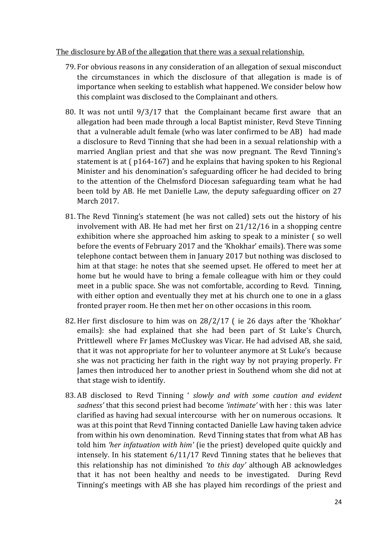#### The disclosure by AB of the allegation that there was a sexual relationship.

- 79. For obvious reasons in any consideration of an allegation of sexual misconduct the circumstances in which the disclosure of that allegation is made is of importance when seeking to establish what happened. We consider below how this complaint was disclosed to the Complainant and others.
- 80. It was not until 9/3/17 that the Complainant became first aware that an allegation had been made through a local Baptist minister, Revd Steve Tinning that a vulnerable adult female (who was later confirmed to be AB) had made a disclosure to Revd Tinning that she had been in a sexual relationship with a married Anglian priest and that she was now pregnant. The Revd Tinning's statement is at ( p164-167) and he explains that having spoken to his Regional Minister and his denomination's safeguarding officer he had decided to bring to the attention of the Chelmsford Diocesan safeguarding team what he had been told by AB. He met Danielle Law, the deputy safeguarding officer on 27 March 2017.
- 81. The Revd Tinning's statement (he was not called) sets out the history of his involvement with AB. He had met her first on 21/12/16 in a shopping centre exhibition where she approached him asking to speak to a minister ( so well before the events of February 2017 and the 'Khokhar' emails). There was some telephone contact between them in January 2017 but nothing was disclosed to him at that stage: he notes that she seemed upset. He offered to meet her at home but he would have to bring a female colleague with him or they could meet in a public space. She was not comfortable, according to Revd. Tinning, with either option and eventually they met at his church one to one in a glass fronted prayer room. He then met her on other occasions in this room.
- 82. Her first disclosure to him was on 28/2/17 ( ie 26 days after the 'Khokhar' emails): she had explained that she had been part of St Luke's Church, Prittlewell where Fr James McCluskey was Vicar. He had advised AB, she said, that it was not appropriate for her to volunteer anymore at St Luke's because she was not practicing her faith in the right way by not praying properly. Fr James then introduced her to another priest in Southend whom she did not at that stage wish to identify.
- 83. AB disclosed to Revd Tinning ' *slowly and with some caution and evident sadness'* that this second priest had become *'intimate'* with her : this was later clarified as having had sexual intercourse with her on numerous occasions. It was at this point that Revd Tinning contacted Danielle Law having taken advice from within his own denomination. Revd Tinning states that from what AB has told him *'her infatuation with him'* (ie the priest) developed quite quickly and intensely. In his statement 6/11/17 Revd Tinning states that he believes that this relationship has not diminished *'to this day'* although AB acknowledges that it has not been healthy and needs to be investigated. During Revd Tinning's meetings with AB she has played him recordings of the priest and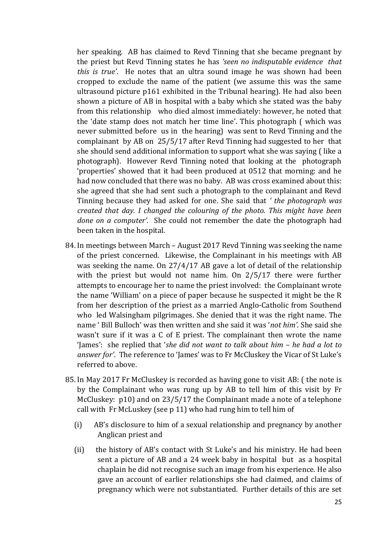her speaking. AB has claimed to Revd Tinning that she became pregnant by the priest but Revd Tinning states he has *'seen no indisputable evidence that this is true'*. He notes that an ultra sound image he was shown had been cropped to exclude the name of the patient (we assume this was the same ultrasound picture p161 exhibited in the Tribunal hearing). He had also been shown a picture of AB in hospital with a baby which she stated was the baby from this relationship who died almost immediately: however, he noted that the 'date stamp does not match her time line'. This photograph ( which was never submitted before us in the hearing) was sent to Revd Tinning and the complainant by AB on 25/5/17 after Revd Tinning had suggested to her that she should send additional information to support what she was saying ( like a photograph). However Revd Tinning noted that looking at the photograph 'properties' showed that it had been produced at 0512 that morning: and he had now concluded that there was no baby. AB was cross examined about this: she agreed that she had sent such a photograph to the complainant and Revd Tinning because they had asked for one. She said that *' the photograph was created that day. I changed the colouring of the photo. This might have been done on a computer'.* She could not remember the date the photograph had been taken in the hospital.

- 84. In meetings between March August 2017 Revd Tinning was seeking the name of the priest concerned. Likewise, the Complainant in his meetings with AB was seeking the name. On 27/4/17 AB gave a lot of detail of the relationship with the priest but would not name him. On 2/5/17 there were further attempts to encourage her to name the priest involved: the Complainant wrote the name 'William' on a piece of paper because he suspected it might be the R from her description of the priest as a married Anglo-Catholic from Southend who led Walsingham pilgrimages. She denied that it was the right name. The name ' Bill Bulloch' was then written and she said it was '*not him'*. She said she wasn't sure if it was a C of E priest. The complainant then wrote the name 'James': she replied that '*she did not want to talk about him – he had a lot to answer for'*. The reference to 'James' was to Fr McCluskey the Vicar of St Luke's referred to above.
- 85. In May 2017 Fr McCluskey is recorded as having gone to visit AB: ( the note is by the Complainant who was rung up by AB to tell him of this visit by Fr McCluskey: p10) and on 23/5/17 the Complainant made a note of a telephone call with Fr McLuskey (see p 11) who had rung him to tell him of
	- (i) AB's disclosure to him of a sexual relationship and pregnancy by another Anglican priest and
	- (ii) the history of AB's contact with St Luke's and his ministry. He had been sent a picture of AB and a 24 week baby in hospital but as a hospital chaplain he did not recognise such an image from his experience. He also gave an account of earlier relationships she had claimed, and claims of pregnancy which were not substantiated. Further details of this are set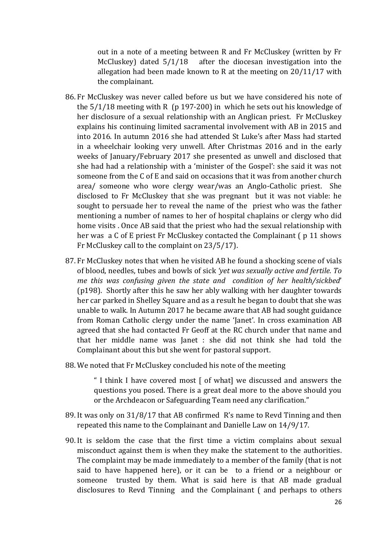out in a note of a meeting between R and Fr McCluskey (written by Fr McCluskey) dated 5/1/18 after the diocesan investigation into the allegation had been made known to R at the meeting on 20/11/17 with the complainant.

- 86. Fr McCluskey was never called before us but we have considered his note of the  $5/1/18$  meeting with R (p 197-200) in which he sets out his knowledge of her disclosure of a sexual relationship with an Anglican priest. Fr McCluskey explains his continuing limited sacramental involvement with AB in 2015 and into 2016. In autumn 2016 she had attended St Luke's after Mass had started in a wheelchair looking very unwell. After Christmas 2016 and in the early weeks of January/February 2017 she presented as unwell and disclosed that she had had a relationship with a 'minister of the Gospel': she said it was not someone from the C of E and said on occasions that it was from another church area/ someone who wore clergy wear/was an Anglo-Catholic priest. She disclosed to Fr McCluskey that she was pregnant but it was not viable: he sought to persuade her to reveal the name of the priest who was the father mentioning a number of names to her of hospital chaplains or clergy who did home visits . Once AB said that the priest who had the sexual relationship with her was a C of E priest Fr McCluskey contacted the Complainant (  $p$  11 shows Fr McCluskey call to the complaint on 23/5/17).
- 87. Fr McCluskey notes that when he visited AB he found a shocking scene of vials of blood, needles, tubes and bowls of sick *'yet was sexually active and fertile. To me this was confusing given the state and condition of her health/sickbed*' (p198). Shortly after this he saw her ably walking with her daughter towards her car parked in Shelley Square and as a result he began to doubt that she was unable to walk. In Autumn 2017 he became aware that AB had sought guidance from Roman Catholic clergy under the name 'Janet'. In cross examination AB agreed that she had contacted Fr Geoff at the RC church under that name and that her middle name was Janet : she did not think she had told the Complainant about this but she went for pastoral support.
- 88. We noted that Fr McCluskey concluded his note of the meeting

" I think I have covered most [ of what] we discussed and answers the questions you posed. There is a great deal more to the above should you or the Archdeacon or Safeguarding Team need any clarification."

- 89. It was only on 31/8/17 that AB confirmed R's name to Revd Tinning and then repeated this name to the Complainant and Danielle Law on 14/9/17.
- 90. It is seldom the case that the first time a victim complains about sexual misconduct against them is when they make the statement to the authorities. The complaint may be made immediately to a member of the family (that is not said to have happened here), or it can be to a friend or a neighbour or someone trusted by them. What is said here is that AB made gradual disclosures to Revd Tinning and the Complainant ( and perhaps to others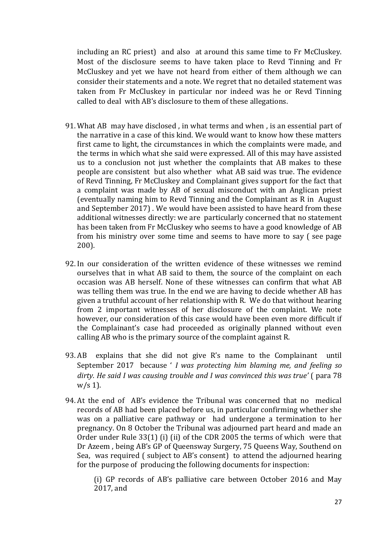including an RC priest) and also at around this same time to Fr McCluskey. Most of the disclosure seems to have taken place to Revd Tinning and Fr McCluskey and yet we have not heard from either of them although we can consider their statements and a note. We regret that no detailed statement was taken from Fr McCluskey in particular nor indeed was he or Revd Tinning called to deal with AB's disclosure to them of these allegations.

- 91. What AB may have disclosed , in what terms and when , is an essential part of the narrative in a case of this kind. We would want to know how these matters first came to light, the circumstances in which the complaints were made, and the terms in which what she said were expressed. All of this may have assisted us to a conclusion not just whether the complaints that AB makes to these people are consistent but also whether what AB said was true. The evidence of Revd Tinning, Fr McCluskey and Complainant gives support for the fact that a complaint was made by AB of sexual misconduct with an Anglican priest (eventually naming him to Revd Tinning and the Complainant as R in August and September 2017) . We would have been assisted to have heard from these additional witnesses directly: we are particularly concerned that no statement has been taken from Fr McCluskey who seems to have a good knowledge of AB from his ministry over some time and seems to have more to say ( see page 200).
- 92. In our consideration of the written evidence of these witnesses we remind ourselves that in what AB said to them, the source of the complaint on each occasion was AB herself. None of these witnesses can confirm that what AB was telling them was true. In the end we are having to decide whether AB has given a truthful account of her relationship with R. We do that without hearing from 2 important witnesses of her disclosure of the complaint. We note however, our consideration of this case would have been even more difficult if the Complainant's case had proceeded as originally planned without even calling AB who is the primary source of the complaint against R.
- 93. AB explains that she did not give R's name to the Complainant until September 2017 because ' *I was protecting him blaming me, and feeling so dirty. He said I was causing trouble and I was convinced this was true'* ( para 78  $w/s$  1).
- 94. At the end of AB's evidence the Tribunal was concerned that no medical records of AB had been placed before us, in particular confirming whether she was on a palliative care pathway or had undergone a termination to her pregnancy. On 8 October the Tribunal was adjourned part heard and made an Order under Rule 33(1) (i) (ii) of the CDR 2005 the terms of which were that Dr Azeem , being AB's GP of Queensway Surgery, 75 Queens Way, Southend on Sea, was required ( subject to AB's consent) to attend the adjourned hearing for the purpose of producing the following documents for inspection:

(i) GP records of AB's palliative care between October 2016 and May 2017, and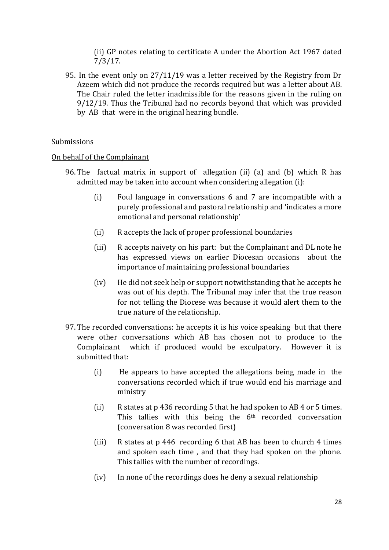(ii) GP notes relating to certificate A under the Abortion Act 1967 dated 7/3/17.

95. In the event only on 27/11/19 was a letter received by the Registry from Dr Azeem which did not produce the records required but was a letter about AB. The Chair ruled the letter inadmissible for the reasons given in the ruling on 9/12/19. Thus the Tribunal had no records beyond that which was provided by AB that were in the original hearing bundle.

#### Submissions

#### On behalf of the Complainant

- 96. The factual matrix in support of allegation (ii) (a) and (b) which R has admitted may be taken into account when considering allegation (i):
	- (i) Foul language in conversations 6 and 7 are incompatible with a purely professional and pastoral relationship and 'indicates a more emotional and personal relationship'
	- (ii) R accepts the lack of proper professional boundaries
	- (iii) R accepts naivety on his part: but the Complainant and DL note he has expressed views on earlier Diocesan occasions about the importance of maintaining professional boundaries
	- (iv) He did not seek help or support notwithstanding that he accepts he was out of his depth. The Tribunal may infer that the true reason for not telling the Diocese was because it would alert them to the true nature of the relationship.
- 97. The recorded conversations: he accepts it is his voice speaking but that there were other conversations which AB has chosen not to produce to the Complainant which if produced would be exculpatory. However it is submitted that:
	- (i) He appears to have accepted the allegations being made in the conversations recorded which if true would end his marriage and ministry
	- (ii) R states at p 436 recording 5 that he had spoken to AB 4 or 5 times. This tallies with this being the 6<sup>th</sup> recorded conversation (conversation 8 was recorded first)
	- (iii) R states at p 446 recording 6 that AB has been to church 4 times and spoken each time , and that they had spoken on the phone. This tallies with the number of recordings.
	- (iv) In none of the recordings does he deny a sexual relationship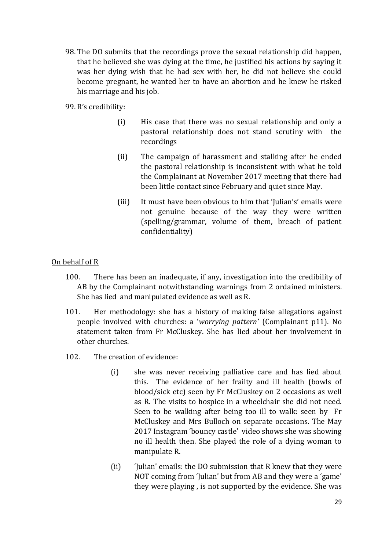- 98. The DO submits that the recordings prove the sexual relationship did happen, that he believed she was dying at the time, he justified his actions by saying it was her dying wish that he had sex with her, he did not believe she could become pregnant, he wanted her to have an abortion and he knew he risked his marriage and his job.
- 99. R's credibility:
	- (i) His case that there was no sexual relationship and only a pastoral relationship does not stand scrutiny with the recordings
	- (ii) The campaign of harassment and stalking after he ended the pastoral relationship is inconsistent with what he told the Complainant at November 2017 meeting that there had been little contact since February and quiet since May.
	- (iii) It must have been obvious to him that 'Julian's' emails were not genuine because of the way they were written (spelling/grammar, volume of them, breach of patient confidentiality)

## On behalf of R

- 100. There has been an inadequate, if any, investigation into the credibility of AB by the Complainant notwithstanding warnings from 2 ordained ministers. She has lied and manipulated evidence as well as R.
- 101. Her methodology: she has a history of making false allegations against people involved with churches: a '*worrying pattern'* (Complainant p11). No statement taken from Fr McCluskey. She has lied about her involvement in other churches.
- 102. The creation of evidence:
	- (i) she was never receiving palliative care and has lied about this. The evidence of her frailty and ill health (bowls of blood/sick etc) seen by Fr McCluskey on 2 occasions as well as R. The visits to hospice in a wheelchair she did not need. Seen to be walking after being too ill to walk: seen by Fr McCluskey and Mrs Bulloch on separate occasions. The May 2017 Instagram 'bouncy castle' video shows she was showing no ill health then. She played the role of a dying woman to manipulate R.
	- (ii) 'Julian' emails: the DO submission that R knew that they were NOT coming from 'Julian' but from AB and they were a 'game' they were playing , is not supported by the evidence. She was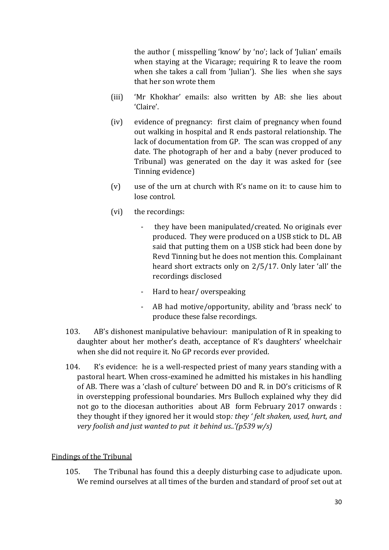the author ( misspelling 'know' by 'no'; lack of 'Julian' emails when staying at the Vicarage; requiring R to leave the room when she takes a call from 'Julian'). She lies when she says that her son wrote them

- (iii) 'Mr Khokhar' emails: also written by AB: she lies about 'Claire'.
- (iv) evidence of pregnancy: first claim of pregnancy when found out walking in hospital and R ends pastoral relationship. The lack of documentation from GP. The scan was cropped of any date. The photograph of her and a baby (never produced to Tribunal) was generated on the day it was asked for (see Tinning evidence)
- (v) use of the urn at church with R's name on it: to cause him to lose control.
- (vi) the recordings:
	- they have been manipulated/created. No originals ever produced. They were produced on a USB stick to DL. AB said that putting them on a USB stick had been done by Revd Tinning but he does not mention this. Complainant heard short extracts only on 2/5/17. Only later 'all' the recordings disclosed
	- Hard to hear/ overspeaking
	- AB had motive/opportunity, ability and 'brass neck' to produce these false recordings.
- 103. AB's dishonest manipulative behaviour: manipulation of R in speaking to daughter about her mother's death, acceptance of R's daughters' wheelchair when she did not require it. No GP records ever provided.
- 104. R's evidence: he is a well-respected priest of many years standing with a pastoral heart. When cross-examined he admitted his mistakes in his handling of AB. There was a 'clash of culture' between DO and R. in DO's criticisms of R in overstepping professional boundaries. Mrs Bulloch explained why they did not go to the diocesan authorities about AB form February 2017 onwards : they thought if they ignored her it would stop*: they ' felt shaken, used, hurt, and very foolish and just wanted to put it behind us..'(p539 w/s)*

# Findings of the Tribunal

105. The Tribunal has found this a deeply disturbing case to adjudicate upon. We remind ourselves at all times of the burden and standard of proof set out at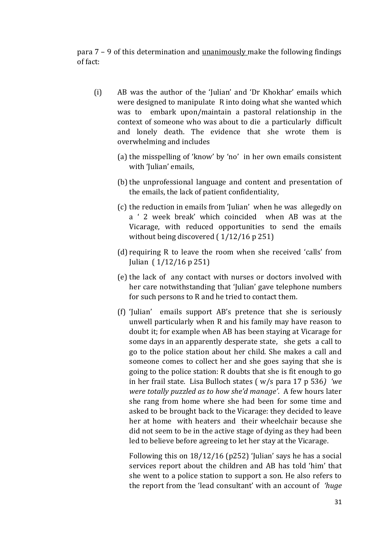para 7 – 9 of this determination and unanimously make the following findings of fact:

- (i) AB was the author of the 'Julian' and 'Dr Khokhar' emails which were designed to manipulate R into doing what she wanted which was to embark upon/maintain a pastoral relationship in the context of someone who was about to die a particularly difficult and lonely death. The evidence that she wrote them is overwhelming and includes
	- (a) the misspelling of 'know' by 'no' in her own emails consistent with 'Julian' emails,
	- (b) the unprofessional language and content and presentation of the emails, the lack of patient confidentiality,
	- (c) the reduction in emails from 'Julian' when he was allegedly on a ' 2 week break' which coincided when AB was at the Vicarage, with reduced opportunities to send the emails without being discovered ( $1/12/16$  p 251)
	- (d) requiring R to leave the room when she received 'calls' from Julian ( 1/12/16 p 251)
	- (e) the lack of any contact with nurses or doctors involved with her care notwithstanding that 'Julian' gave telephone numbers for such persons to R and he tried to contact them.
	- (f) 'Julian' emails support AB's pretence that she is seriously unwell particularly when R and his family may have reason to doubt it; for example when AB has been staying at Vicarage for some days in an apparently desperate state, she gets a call to go to the police station about her child. She makes a call and someone comes to collect her and she goes saying that she is going to the police station: R doubts that she is fit enough to go in her frail state. Lisa Bulloch states ( w/s para 17 p 536*) 'we were totally puzzled as to how she'd manage'*. A few hours later she rang from home where she had been for some time and asked to be brought back to the Vicarage: they decided to leave her at home with heaters and their wheelchair because she did not seem to be in the active stage of dying as they had been led to believe before agreeing to let her stay at the Vicarage.

Following this on 18/12/16 (p252) 'Julian' says he has a social services report about the children and AB has told 'him' that she went to a police station to support a son. He also refers to the report from the 'lead consultant' with an account of *'huge*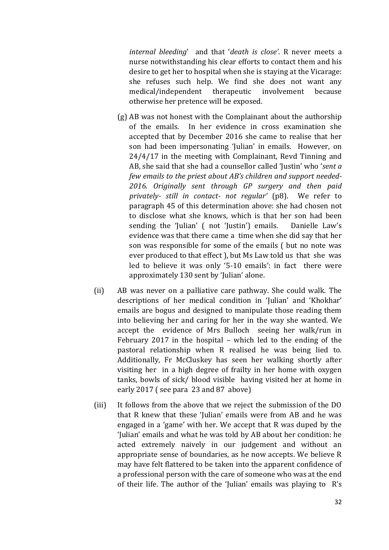*internal bleeding*' and that '*death is close'*. R never meets a nurse notwithstanding his clear efforts to contact them and his desire to get her to hospital when she is staying at the Vicarage: she refuses such help. We find she does not want any medical/independent therapeutic involvement because otherwise her pretence will be exposed.

- (g) AB was not honest with the Complainant about the authorship of the emails. In her evidence in cross examination she accepted that by December 2016 she came to realise that her son had been impersonating 'Julian' in emails. However, on 24/4/17 in the meeting with Complainant, Revd Tinning and AB, she said that she had a counsellor called 'Justin' who '*sent a few emails to the priest about AB's children and support needed-2016. Originally sent through GP surgery and then paid privately- still in contact- not regular'* (p8). We refer to paragraph 45 of this determination above: she had chosen not to disclose what she knows, which is that her son had been sending the 'Julian' (not 'Justin') emails. Danielle Law's evidence was that there came a time when she did say that her son was responsible for some of the emails ( but no note was ever produced to that effect ), but Ms Law told us that she was led to believe it was only '5-10 emails': in fact there were approximately 130 sent by 'Julian' alone.
- (ii) AB was never on a palliative care pathway. She could walk. The descriptions of her medical condition in 'Julian' and 'Khokhar' emails are bogus and designed to manipulate those reading them into believing her and caring for her in the way she wanted. We accept the evidence of Mrs Bulloch seeing her walk/run in February 2017 in the hospital – which led to the ending of the pastoral relationship when R realised he was being lied to. Additionally, Fr McCluskey has seen her walking shortly after visiting her in a high degree of frailty in her home with oxygen tanks, bowls of sick/ blood visible having visited her at home in early 2017 ( see para 23 and 87 above)
- (iii) It follows from the above that we reject the submission of the DO that R knew that these 'Julian' emails were from AB and he was engaged in a 'game' with her. We accept that R was duped by the 'Julian' emails and what he was told by AB about her condition: he acted extremely naively in our judgement and without an appropriate sense of boundaries, as he now accepts. We believe R may have felt flattered to be taken into the apparent confidence of a professional person with the care of someone who was at the end of their life. The author of the 'Julian' emails was playing to R's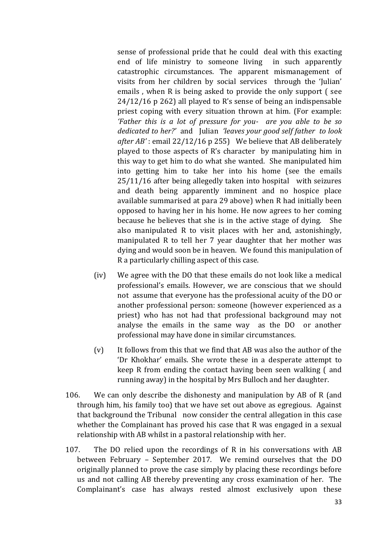sense of professional pride that he could deal with this exacting end of life ministry to someone living in such apparently catastrophic circumstances. The apparent mismanagement of visits from her children by social services through the 'Julian' emails , when R is being asked to provide the only support ( see 24/12/16 p 262) all played to R's sense of being an indispensable priest coping with every situation thrown at him. (For example: *'Father this is a lot of pressure for you- are you able to be so dedicated to her?'* and Julian *'leaves your good self father to look after AB'* : email 22/12/16 p 255) We believe that AB deliberately played to those aspects of R's character by manipulating him in this way to get him to do what she wanted. She manipulated him into getting him to take her into his home (see the emails 25/11/16 after being allegedly taken into hospital with seizures and death being apparently imminent and no hospice place available summarised at para 29 above) when R had initially been opposed to having her in his home. He now agrees to her coming because he believes that she is in the active stage of dying. She also manipulated R to visit places with her and, astonishingly, manipulated R to tell her 7 year daughter that her mother was dying and would soon be in heaven. We found this manipulation of R a particularly chilling aspect of this case.

- (iv) We agree with the DO that these emails do not look like a medical professional's emails. However, we are conscious that we should not assume that everyone has the professional acuity of the DO or another professional person: someone (however experienced as a priest) who has not had that professional background may not analyse the emails in the same way as the DO or another professional may have done in similar circumstances.
- (v) It follows from this that we find that AB was also the author of the 'Dr Khokhar' emails. She wrote these in a desperate attempt to keep R from ending the contact having been seen walking ( and running away) in the hospital by Mrs Bulloch and her daughter.
- 106. We can only describe the dishonesty and manipulation by AB of R (and through him, his family too) that we have set out above as egregious. Against that background the Tribunal now consider the central allegation in this case whether the Complainant has proved his case that R was engaged in a sexual relationship with AB whilst in a pastoral relationship with her.
- 107. The DO relied upon the recordings of R in his conversations with AB between February – September 2017. We remind ourselves that the DO originally planned to prove the case simply by placing these recordings before us and not calling AB thereby preventing any cross examination of her. The Complainant's case has always rested almost exclusively upon these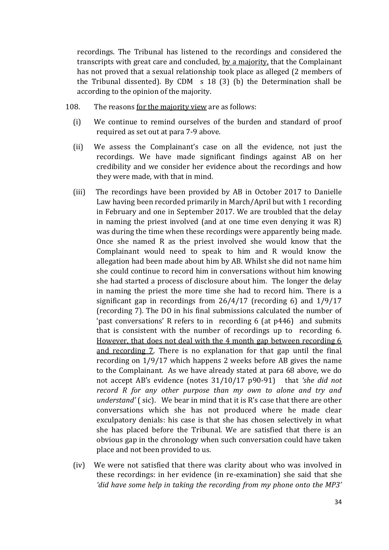recordings. The Tribunal has listened to the recordings and considered the transcripts with great care and concluded, by a majority, that the Complainant has not proved that a sexual relationship took place as alleged (2 members of the Tribunal dissented). By CDM s 18 (3) (b) the Determination shall be according to the opinion of the majority.

- 108. The reasons for the majority view are as follows:
	- (i) We continue to remind ourselves of the burden and standard of proof required as set out at para 7-9 above.
	- (ii) We assess the Complainant's case on all the evidence, not just the recordings. We have made significant findings against AB on her credibility and we consider her evidence about the recordings and how they were made, with that in mind.
	- (iii) The recordings have been provided by AB in October 2017 to Danielle Law having been recorded primarily in March/April but with 1 recording in February and one in September 2017. We are troubled that the delay in naming the priest involved (and at one time even denying it was R) was during the time when these recordings were apparently being made. Once she named R as the priest involved she would know that the Complainant would need to speak to him and R would know the allegation had been made about him by AB. Whilst she did not name him she could continue to record him in conversations without him knowing she had started a process of disclosure about him. The longer the delay in naming the priest the more time she had to record him. There is a significant gap in recordings from 26/4/17 (recording 6) and 1/9/17 (recording 7). The DO in his final submissions calculated the number of 'past conversations' R refers to in recording 6 (at p446) and submits that is consistent with the number of recordings up to recording 6. However, that does not deal with the 4 month gap between recording 6 and recording 7. There is no explanation for that gap until the final recording on 1/9/17 which happens 2 weeks before AB gives the name to the Complainant. As we have already stated at para 68 above, we do not accept AB's evidence (notes 31/10/17 p90-91) that *'she did not record R for any other purpose than my own to alone and try and understand'* ( sic). We bear in mind that it is R's case that there are other conversations which she has not produced where he made clear exculpatory denials: his case is that she has chosen selectively in what she has placed before the Tribunal. We are satisfied that there is an obvious gap in the chronology when such conversation could have taken place and not been provided to us.
	- (iv) We were not satisfied that there was clarity about who was involved in these recordings: in her evidence (in re-examination) she said that she *'did have some help in taking the recording from my phone onto the MP3'*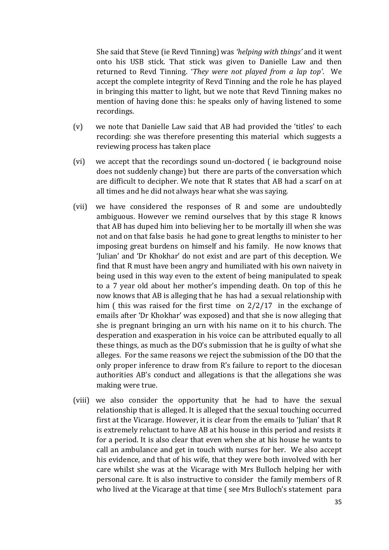She said that Steve (ie Revd Tinning) was *'helping with things'* and it went onto his USB stick. That stick was given to Danielle Law and then returned to Revd Tinning. '*They were not played from a lap top'*. We accept the complete integrity of Revd Tinning and the role he has played in bringing this matter to light, but we note that Revd Tinning makes no mention of having done this: he speaks only of having listened to some recordings.

- (v) we note that Danielle Law said that AB had provided the 'titles' to each recording: she was therefore presenting this material which suggests a reviewing process has taken place
- (vi) we accept that the recordings sound un-doctored ( ie background noise does not suddenly change) but there are parts of the conversation which are difficult to decipher. We note that R states that AB had a scarf on at all times and he did not always hear what she was saying.
- (vii) we have considered the responses of R and some are undoubtedly ambiguous. However we remind ourselves that by this stage R knows that AB has duped him into believing her to be mortally ill when she was not and on that false basis he had gone to great lengths to minister to her imposing great burdens on himself and his family. He now knows that 'Julian' and 'Dr Khokhar' do not exist and are part of this deception. We find that R must have been angry and humiliated with his own naivety in being used in this way even to the extent of being manipulated to speak to a 7 year old about her mother's impending death. On top of this he now knows that AB is alleging that he has had a sexual relationship with him ( this was raised for the first time on 2/2/17 in the exchange of emails after 'Dr Khokhar' was exposed) and that she is now alleging that she is pregnant bringing an urn with his name on it to his church. The desperation and exasperation in his voice can be attributed equally to all these things, as much as the DO's submission that he is guilty of what she alleges. For the same reasons we reject the submission of the DO that the only proper inference to draw from R's failure to report to the diocesan authorities AB's conduct and allegations is that the allegations she was making were true.
- (viii) we also consider the opportunity that he had to have the sexual relationship that is alleged. It is alleged that the sexual touching occurred first at the Vicarage. However, it is clear from the emails to 'Julian' that R is extremely reluctant to have AB at his house in this period and resists it for a period. It is also clear that even when she at his house he wants to call an ambulance and get in touch with nurses for her. We also accept his evidence, and that of his wife, that they were both involved with her care whilst she was at the Vicarage with Mrs Bulloch helping her with personal care. It is also instructive to consider the family members of R who lived at the Vicarage at that time ( see Mrs Bulloch's statement para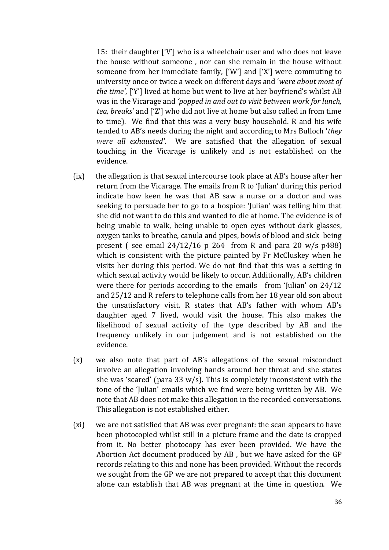15: their daughter ['V'] who is a wheelchair user and who does not leave the house without someone , nor can she remain in the house without someone from her immediate family, ['W'] and ['X'] were commuting to university once or twice a week on different days and '*were about most of the time'*, ['Y'] lived at home but went to live at her boyfriend's whilst AB was in the Vicarage and *'popped in and out to visit between work for lunch, tea, breaks*' and ['Z'] who did not live at home but also called in from time to time). We find that this was a very busy household. R and his wife tended to AB's needs during the night and according to Mrs Bulloch '*they were all exhausted'*. We are satisfied that the allegation of sexual touching in the Vicarage is unlikely and is not established on the evidence.

- (ix) the allegation is that sexual intercourse took place at AB's house after her return from the Vicarage. The emails from R to 'Julian' during this period indicate how keen he was that AB saw a nurse or a doctor and was seeking to persuade her to go to a hospice: 'Julian' was telling him that she did not want to do this and wanted to die at home. The evidence is of being unable to walk, being unable to open eyes without dark glasses, oxygen tanks to breathe, canula and pipes, bowls of blood and sick being present (see email  $24/12/16$  p 264 from R and para 20 w/s p488) which is consistent with the picture painted by Fr McCluskey when he visits her during this period. We do not find that this was a setting in which sexual activity would be likely to occur. Additionally, AB's children were there for periods according to the emails from 'Julian' on 24/12 and 25/12 and R refers to telephone calls from her 18 year old son about the unsatisfactory visit. R states that AB's father with whom AB's daughter aged 7 lived, would visit the house. This also makes the likelihood of sexual activity of the type described by AB and the frequency unlikely in our judgement and is not established on the evidence.
- (x) we also note that part of AB's allegations of the sexual misconduct involve an allegation involving hands around her throat and she states she was 'scared' (para 33 w/s). This is completely inconsistent with the tone of the 'Julian' emails which we find were being written by AB. We note that AB does not make this allegation in the recorded conversations. This allegation is not established either.
- (xi) we are not satisfied that AB was ever pregnant: the scan appears to have been photocopied whilst still in a picture frame and the date is cropped from it. No better photocopy has ever been provided. We have the Abortion Act document produced by AB , but we have asked for the GP records relating to this and none has been provided. Without the records we sought from the GP we are not prepared to accept that this document alone can establish that AB was pregnant at the time in question. We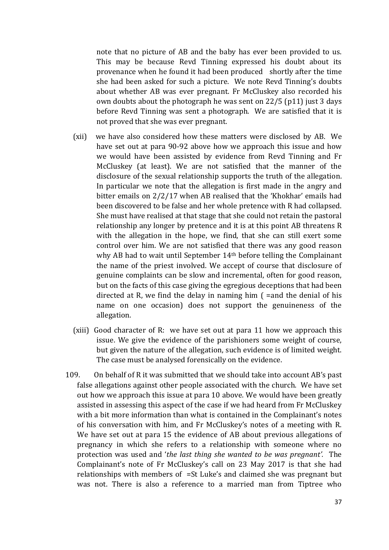note that no picture of AB and the baby has ever been provided to us. This may be because Revd Tinning expressed his doubt about its provenance when he found it had been produced shortly after the time she had been asked for such a picture. We note Revd Tinning's doubts about whether AB was ever pregnant. Fr McCluskey also recorded his own doubts about the photograph he was sent on 22/5 (p11) just 3 days before Revd Tinning was sent a photograph. We are satisfied that it is not proved that she was ever pregnant.

- (xii) we have also considered how these matters were disclosed by AB. We have set out at para 90-92 above how we approach this issue and how we would have been assisted by evidence from Revd Tinning and Fr McCluskey (at least). We are not satisfied that the manner of the disclosure of the sexual relationship supports the truth of the allegation. In particular we note that the allegation is first made in the angry and bitter emails on 2/2/17 when AB realised that the 'Khokhar' emails had been discovered to be false and her whole pretence with R had collapsed. She must have realised at that stage that she could not retain the pastoral relationship any longer by pretence and it is at this point AB threatens R with the allegation in the hope, we find, that she can still exert some control over him. We are not satisfied that there was any good reason why AB had to wait until September 14th before telling the Complainant the name of the priest involved. We accept of course that disclosure of genuine complaints can be slow and incremental, often for good reason, but on the facts of this case giving the egregious deceptions that had been directed at R, we find the delay in naming him ( =and the denial of his name on one occasion) does not support the genuineness of the allegation.
- (xiii) Good character of R: we have set out at para 11 how we approach this issue. We give the evidence of the parishioners some weight of course, but given the nature of the allegation, such evidence is of limited weight. The case must be analysed forensically on the evidence.
- 109. On behalf of R it was submitted that we should take into account AB's past false allegations against other people associated with the church. We have set out how we approach this issue at para 10 above. We would have been greatly assisted in assessing this aspect of the case if we had heard from Fr McCluskey with a bit more information than what is contained in the Complainant's notes of his conversation with him, and Fr McCluskey's notes of a meeting with R. We have set out at para 15 the evidence of AB about previous allegations of pregnancy in which she refers to a relationship with someone where no protection was used and '*the last thing she wanted to be was pregnant'.* The Complainant's note of Fr McCluskey's call on 23 May 2017 is that she had relationships with members of =St Luke's and claimed she was pregnant but was not. There is also a reference to a married man from Tiptree who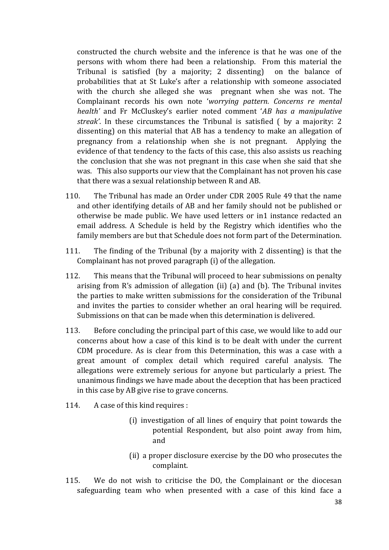constructed the church website and the inference is that he was one of the persons with whom there had been a relationship. From this material the Tribunal is satisfied (by a majority; 2 dissenting) on the balance of probabilities that at St Luke's after a relationship with someone associated with the church she alleged she was pregnant when she was not. The Complainant records his own note '*worrying pattern. Concerns re mental health'* and Fr McCluskey's earlier noted comment '*AB has a manipulative streak'*. In these circumstances the Tribunal is satisfied ( by a majority: 2 dissenting) on this material that AB has a tendency to make an allegation of pregnancy from a relationship when she is not pregnant. Applying the evidence of that tendency to the facts of this case, this also assists us reaching the conclusion that she was not pregnant in this case when she said that she was. This also supports our view that the Complainant has not proven his case that there was a sexual relationship between R and AB.

- 110. The Tribunal has made an Order under CDR 2005 Rule 49 that the name and other identifying details of AB and her family should not be published or otherwise be made public. We have used letters or in1 instance redacted an email address. A Schedule is held by the Registry which identifies who the family members are but that Schedule does not form part of the Determination.
- 111. The finding of the Tribunal (by a majority with 2 dissenting) is that the Complainant has not proved paragraph (i) of the allegation.
- 112. This means that the Tribunal will proceed to hear submissions on penalty arising from R's admission of allegation (ii) (a) and (b). The Tribunal invites the parties to make written submissions for the consideration of the Tribunal and invites the parties to consider whether an oral hearing will be required. Submissions on that can be made when this determination is delivered.
- 113. Before concluding the principal part of this case, we would like to add our concerns about how a case of this kind is to be dealt with under the current CDM procedure. As is clear from this Determination, this was a case with a great amount of complex detail which required careful analysis. The allegations were extremely serious for anyone but particularly a priest. The unanimous findings we have made about the deception that has been practiced in this case by AB give rise to grave concerns.
- 114. A case of this kind requires :
	- (i) investigation of all lines of enquiry that point towards the potential Respondent, but also point away from him, and
	- (ii) a proper disclosure exercise by the DO who prosecutes the complaint.
- 115. We do not wish to criticise the DO, the Complainant or the diocesan safeguarding team who when presented with a case of this kind face a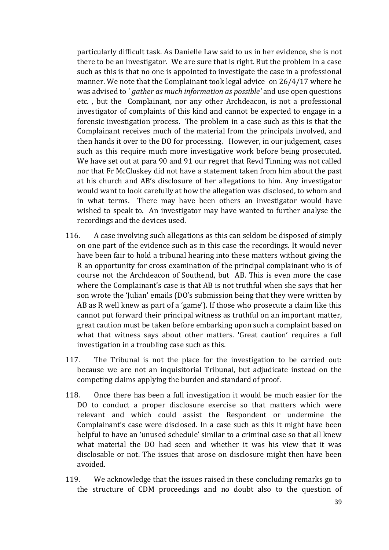particularly difficult task. As Danielle Law said to us in her evidence, she is not there to be an investigator. We are sure that is right. But the problem in a case such as this is that no one is appointed to investigate the case in a professional manner. We note that the Complainant took legal advice on 26/4/17 where he was advised to ' *gather as much information as possible'* and use open questions etc. , but the Complainant, nor any other Archdeacon, is not a professional investigator of complaints of this kind and cannot be expected to engage in a forensic investigation process. The problem in a case such as this is that the Complainant receives much of the material from the principals involved, and then hands it over to the DO for processing. However, in our judgement, cases such as this require much more investigative work before being prosecuted. We have set out at para 90 and 91 our regret that Revd Tinning was not called nor that Fr McCluskey did not have a statement taken from him about the past at his church and AB's disclosure of her allegations to him. Any investigator would want to look carefully at how the allegation was disclosed, to whom and in what terms. There may have been others an investigator would have wished to speak to. An investigator may have wanted to further analyse the recordings and the devices used.

- 116. A case involving such allegations as this can seldom be disposed of simply on one part of the evidence such as in this case the recordings. It would never have been fair to hold a tribunal hearing into these matters without giving the R an opportunity for cross examination of the principal complainant who is of course not the Archdeacon of Southend, but AB. This is even more the case where the Complainant's case is that AB is not truthful when she says that her son wrote the 'Julian' emails (DO's submission being that they were written by AB as R well knew as part of a 'game'). If those who prosecute a claim like this cannot put forward their principal witness as truthful on an important matter, great caution must be taken before embarking upon such a complaint based on what that witness says about other matters. 'Great caution' requires a full investigation in a troubling case such as this.
- 117. The Tribunal is not the place for the investigation to be carried out: because we are not an inquisitorial Tribunal, but adjudicate instead on the competing claims applying the burden and standard of proof.
- 118. Once there has been a full investigation it would be much easier for the DO to conduct a proper disclosure exercise so that matters which were relevant and which could assist the Respondent or undermine the Complainant's case were disclosed. In a case such as this it might have been helpful to have an 'unused schedule' similar to a criminal case so that all knew what material the DO had seen and whether it was his view that it was disclosable or not. The issues that arose on disclosure might then have been avoided.
- 119. We acknowledge that the issues raised in these concluding remarks go to the structure of CDM proceedings and no doubt also to the question of